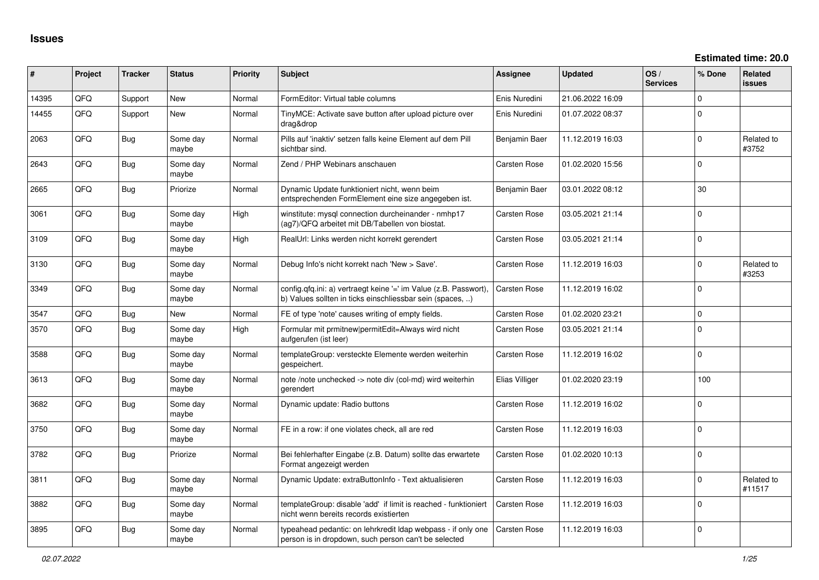| $\sharp$ | Project | <b>Tracker</b> | <b>Status</b>     | <b>Priority</b> | <b>Subject</b>                                                                                                                | <b>Assignee</b>     | <b>Updated</b>   | OS/<br><b>Services</b> | % Done      | <b>Related</b><br><b>issues</b> |
|----------|---------|----------------|-------------------|-----------------|-------------------------------------------------------------------------------------------------------------------------------|---------------------|------------------|------------------------|-------------|---------------------------------|
| 14395    | QFQ     | Support        | <b>New</b>        | Normal          | FormEditor: Virtual table columns                                                                                             | Enis Nuredini       | 21.06.2022 16:09 |                        | $\mathbf 0$ |                                 |
| 14455    | QFQ     | Support        | <b>New</b>        | Normal          | TinyMCE: Activate save button after upload picture over<br>drag&drop                                                          | Enis Nuredini       | 01.07.2022 08:37 |                        | $\Omega$    |                                 |
| 2063     | QFQ     | Bug            | Some day<br>maybe | Normal          | Pills auf 'inaktiv' setzen falls keine Element auf dem Pill<br>sichtbar sind.                                                 | Benjamin Baer       | 11.12.2019 16:03 |                        | $\Omega$    | Related to<br>#3752             |
| 2643     | QFQ     | Bug            | Some day<br>maybe | Normal          | Zend / PHP Webinars anschauen                                                                                                 | <b>Carsten Rose</b> | 01.02.2020 15:56 |                        | $\mathbf 0$ |                                 |
| 2665     | QFQ     | Bug            | Priorize          | Normal          | Dynamic Update funktioniert nicht, wenn beim<br>entsprechenden FormElement eine size angegeben ist.                           | Benjamin Baer       | 03.01.2022 08:12 |                        | 30          |                                 |
| 3061     | QFQ     | Bug            | Some day<br>maybe | High            | winstitute: mysql connection durcheinander - nmhp17<br>(ag7)/QFQ arbeitet mit DB/Tabellen von biostat.                        | Carsten Rose        | 03.05.2021 21:14 |                        | $\Omega$    |                                 |
| 3109     | QFQ     | Bug            | Some day<br>maybe | High            | RealUrl: Links werden nicht korrekt gerendert                                                                                 | Carsten Rose        | 03.05.2021 21:14 |                        | $\Omega$    |                                 |
| 3130     | QFQ     | Bug            | Some day<br>maybe | Normal          | Debug Info's nicht korrekt nach 'New > Save'.                                                                                 | <b>Carsten Rose</b> | 11.12.2019 16:03 |                        | $\Omega$    | Related to<br>#3253             |
| 3349     | QFQ     | <b>Bug</b>     | Some day<br>maybe | Normal          | config.qfq.ini: a) vertraegt keine '=' im Value (z.B. Passwort).<br>b) Values sollten in ticks einschliessbar sein (spaces, ) | <b>Carsten Rose</b> | 11.12.2019 16:02 |                        | $\Omega$    |                                 |
| 3547     | QFQ     | Bug            | <b>New</b>        | Normal          | FE of type 'note' causes writing of empty fields.                                                                             | Carsten Rose        | 01.02.2020 23:21 |                        | $\mathbf 0$ |                                 |
| 3570     | QFQ     | Bug            | Some day<br>maybe | High            | Formular mit prmitnew permitEdit=Always wird nicht<br>aufgerufen (ist leer)                                                   | Carsten Rose        | 03.05.2021 21:14 |                        | $\Omega$    |                                 |
| 3588     | QFQ     | Bug            | Some day<br>maybe | Normal          | templateGroup: versteckte Elemente werden weiterhin<br>gespeichert.                                                           | Carsten Rose        | 11.12.2019 16:02 |                        | $\Omega$    |                                 |
| 3613     | QFQ     | Bug            | Some day<br>maybe | Normal          | note /note unchecked -> note div (col-md) wird weiterhin<br>gerendert                                                         | Elias Villiger      | 01.02.2020 23:19 |                        | 100         |                                 |
| 3682     | QFQ     | Bug            | Some day<br>maybe | Normal          | Dynamic update: Radio buttons                                                                                                 | <b>Carsten Rose</b> | 11.12.2019 16:02 |                        | $\Omega$    |                                 |
| 3750     | QFQ     | <b>Bug</b>     | Some day<br>maybe | Normal          | FE in a row: if one violates check, all are red                                                                               | Carsten Rose        | 11.12.2019 16:03 |                        | $\mathbf 0$ |                                 |
| 3782     | QFQ     | Bug            | Priorize          | Normal          | Bei fehlerhafter Eingabe (z.B. Datum) sollte das erwartete<br>Format angezeigt werden                                         | Carsten Rose        | 01.02.2020 10:13 |                        | $\mathbf 0$ |                                 |
| 3811     | QFQ     | <b>Bug</b>     | Some day<br>maybe | Normal          | Dynamic Update: extraButtonInfo - Text aktualisieren                                                                          | Carsten Rose        | 11.12.2019 16:03 |                        | 0           | Related to<br>#11517            |
| 3882     | QFQ     | Bug            | Some day<br>maybe | Normal          | templateGroup: disable 'add' if limit is reached - funktioniert<br>nicht wenn bereits records existierten                     | <b>Carsten Rose</b> | 11.12.2019 16:03 |                        | $\Omega$    |                                 |
| 3895     | QFQ     | Bug            | Some day<br>maybe | Normal          | typeahead pedantic: on lehrkredit ldap webpass - if only one<br>person is in dropdown, such person can't be selected          | <b>Carsten Rose</b> | 11.12.2019 16:03 |                        | $\Omega$    |                                 |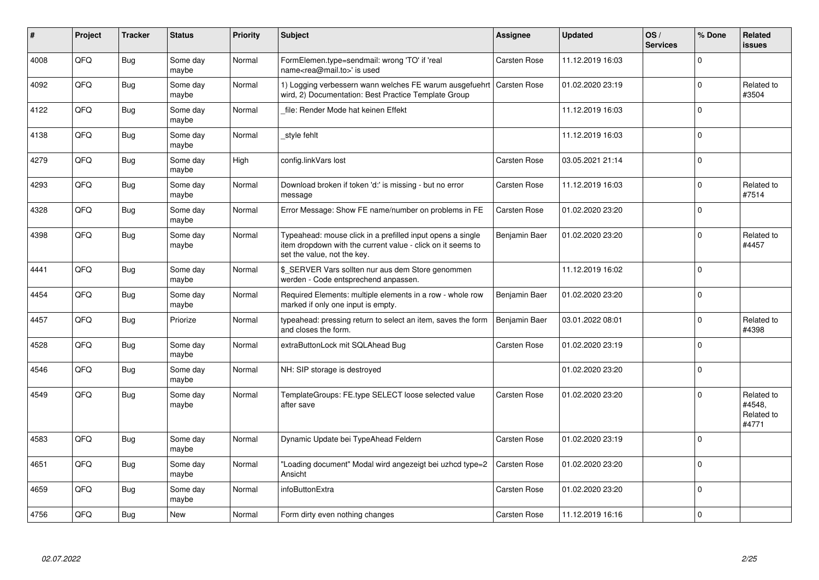| ∦    | Project | <b>Tracker</b> | <b>Status</b>     | <b>Priority</b> | <b>Subject</b>                                                                                                                                           | Assignee            | <b>Updated</b>   | OS/<br><b>Services</b> | % Done   | Related<br><b>issues</b>                    |
|------|---------|----------------|-------------------|-----------------|----------------------------------------------------------------------------------------------------------------------------------------------------------|---------------------|------------------|------------------------|----------|---------------------------------------------|
| 4008 | QFQ     | <b>Bug</b>     | Some day<br>maybe | Normal          | FormElemen.type=sendmail: wrong 'TO' if 'real<br>name <rea@mail.to>' is used</rea@mail.to>                                                               | <b>Carsten Rose</b> | 11.12.2019 16:03 |                        | $\Omega$ |                                             |
| 4092 | QFQ     | <b>Bug</b>     | Some day<br>maybe | Normal          | 1) Logging verbessern wann welches FE warum ausgefuehrt<br>wird, 2) Documentation: Best Practice Template Group                                          | <b>Carsten Rose</b> | 01.02.2020 23:19 |                        | $\Omega$ | Related to<br>#3504                         |
| 4122 | QFQ     | <b>Bug</b>     | Some day<br>maybe | Normal          | file: Render Mode hat keinen Effekt                                                                                                                      |                     | 11.12.2019 16:03 |                        | $\Omega$ |                                             |
| 4138 | QFQ     | <b>Bug</b>     | Some day<br>maybe | Normal          | style fehlt                                                                                                                                              |                     | 11.12.2019 16:03 |                        | $\Omega$ |                                             |
| 4279 | QFQ     | <b>Bug</b>     | Some day<br>maybe | High            | config.linkVars lost                                                                                                                                     | Carsten Rose        | 03.05.2021 21:14 |                        | $\Omega$ |                                             |
| 4293 | QFQ     | Bug            | Some day<br>maybe | Normal          | Download broken if token 'd:' is missing - but no error<br>message                                                                                       | Carsten Rose        | 11.12.2019 16:03 |                        | $\Omega$ | Related to<br>#7514                         |
| 4328 | QFQ     | Bug            | Some day<br>maybe | Normal          | Error Message: Show FE name/number on problems in FE                                                                                                     | Carsten Rose        | 01.02.2020 23:20 |                        | $\Omega$ |                                             |
| 4398 | QFQ     | Bug            | Some day<br>maybe | Normal          | Typeahead: mouse click in a prefilled input opens a single<br>item dropdown with the current value - click on it seems to<br>set the value, not the key. | Benjamin Baer       | 01.02.2020 23:20 |                        | $\Omega$ | Related to<br>#4457                         |
| 4441 | QFQ     | Bug            | Some day<br>maybe | Normal          | \$_SERVER Vars sollten nur aus dem Store genommen<br>werden - Code entsprechend anpassen.                                                                |                     | 11.12.2019 16:02 |                        | $\Omega$ |                                             |
| 4454 | QFQ     | Bug            | Some day<br>maybe | Normal          | Required Elements: multiple elements in a row - whole row<br>marked if only one input is empty.                                                          | Benjamin Baer       | 01.02.2020 23:20 |                        | $\Omega$ |                                             |
| 4457 | QFQ     | <b>Bug</b>     | Priorize          | Normal          | typeahead: pressing return to select an item, saves the form<br>and closes the form.                                                                     | Benjamin Baer       | 03.01.2022 08:01 |                        | $\Omega$ | Related to<br>#4398                         |
| 4528 | QFQ     | <b>Bug</b>     | Some day<br>maybe | Normal          | extraButtonLock mit SQLAhead Bug                                                                                                                         | <b>Carsten Rose</b> | 01.02.2020 23:19 |                        | $\Omega$ |                                             |
| 4546 | QFQ     | <b>Bug</b>     | Some day<br>maybe | Normal          | NH: SIP storage is destroyed                                                                                                                             |                     | 01.02.2020 23:20 |                        | $\Omega$ |                                             |
| 4549 | QFQ     | <b>Bug</b>     | Some day<br>maybe | Normal          | TemplateGroups: FE.type SELECT loose selected value<br>after save                                                                                        | <b>Carsten Rose</b> | 01.02.2020 23:20 |                        | $\Omega$ | Related to<br>#4548,<br>Related to<br>#4771 |
| 4583 | QFQ     | <b>Bug</b>     | Some day<br>maybe | Normal          | Dynamic Update bei TypeAhead Feldern                                                                                                                     | Carsten Rose        | 01.02.2020 23:19 |                        | $\Omega$ |                                             |
| 4651 | QFQ     | Bug            | Some day<br>maybe | Normal          | "Loading document" Modal wird angezeigt bei uzhcd type=2<br>Ansicht                                                                                      | Carsten Rose        | 01.02.2020 23:20 |                        | $\Omega$ |                                             |
| 4659 | QFQ     | Bug            | Some day<br>maybe | Normal          | infoButtonExtra                                                                                                                                          | Carsten Rose        | 01.02.2020 23:20 |                        | $\Omega$ |                                             |
| 4756 | QFQ     | Bug            | <b>New</b>        | Normal          | Form dirty even nothing changes                                                                                                                          | Carsten Rose        | 11.12.2019 16:16 |                        | $\Omega$ |                                             |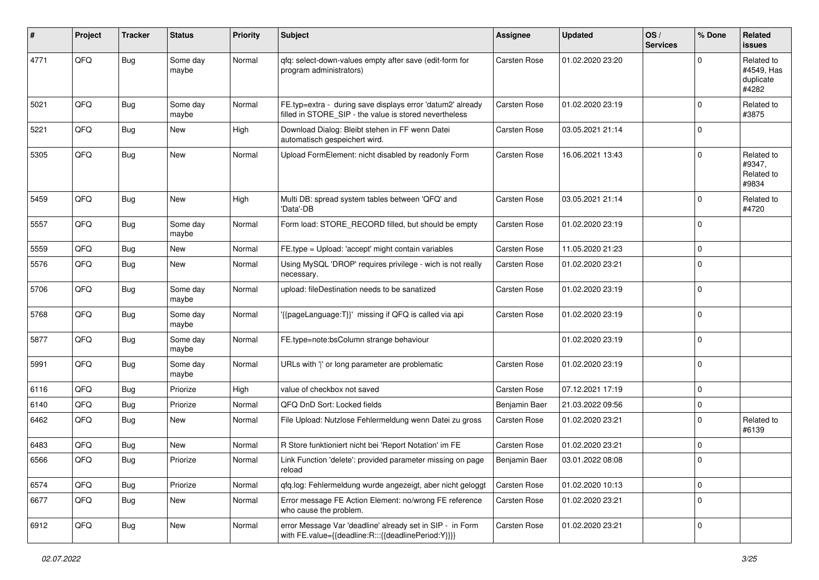| #    | Project | <b>Tracker</b> | <b>Status</b>     | <b>Priority</b> | <b>Subject</b>                                                                                                       | <b>Assignee</b>     | <b>Updated</b>   | OS/<br><b>Services</b> | % Done      | <b>Related</b><br><b>issues</b>                |
|------|---------|----------------|-------------------|-----------------|----------------------------------------------------------------------------------------------------------------------|---------------------|------------------|------------------------|-------------|------------------------------------------------|
| 4771 | QFQ     | <b>Bug</b>     | Some day<br>maybe | Normal          | qfq: select-down-values empty after save (edit-form for<br>program administrators)                                   | <b>Carsten Rose</b> | 01.02.2020 23:20 |                        | $\mathbf 0$ | Related to<br>#4549, Has<br>duplicate<br>#4282 |
| 5021 | QFQ     | <b>Bug</b>     | Some day<br>maybe | Normal          | FE.typ=extra - during save displays error 'datum2' already<br>filled in STORE_SIP - the value is stored nevertheless | Carsten Rose        | 01.02.2020 23:19 |                        | $\mathbf 0$ | Related to<br>#3875                            |
| 5221 | QFQ     | <b>Bug</b>     | New               | High            | Download Dialog: Bleibt stehen in FF wenn Datei<br>automatisch gespeichert wird.                                     | Carsten Rose        | 03.05.2021 21:14 |                        | $\pmb{0}$   |                                                |
| 5305 | QFQ     | <b>Bug</b>     | New               | Normal          | Upload FormElement: nicht disabled by readonly Form                                                                  | Carsten Rose        | 16.06.2021 13:43 |                        | $\mathbf 0$ | Related to<br>#9347,<br>Related to<br>#9834    |
| 5459 | QFQ     | <b>Bug</b>     | New               | High            | Multi DB: spread system tables between 'QFQ' and<br>'Data'-DB                                                        | Carsten Rose        | 03.05.2021 21:14 |                        | $\mathbf 0$ | Related to<br>#4720                            |
| 5557 | QFQ     | Bug            | Some day<br>maybe | Normal          | Form load: STORE RECORD filled, but should be empty                                                                  | Carsten Rose        | 01.02.2020 23:19 |                        | $\mathbf 0$ |                                                |
| 5559 | QFQ     | <b>Bug</b>     | New               | Normal          | FE.type = Upload: 'accept' might contain variables                                                                   | Carsten Rose        | 11.05.2020 21:23 |                        | $\pmb{0}$   |                                                |
| 5576 | QFQ     | Bug            | New               | Normal          | Using MySQL 'DROP' requires privilege - wich is not really<br>necessary.                                             | Carsten Rose        | 01.02.2020 23:21 |                        | $\mathbf 0$ |                                                |
| 5706 | QFQ     | Bug            | Some day<br>maybe | Normal          | upload: fileDestination needs to be sanatized                                                                        | Carsten Rose        | 01.02.2020 23:19 |                        | $\mathbf 0$ |                                                |
| 5768 | QFQ     | <b>Bug</b>     | Some day<br>maybe | Normal          | '{{pageLanguage:T}}' missing if QFQ is called via api                                                                | Carsten Rose        | 01.02.2020 23:19 |                        | $\mathbf 0$ |                                                |
| 5877 | QFQ     | <b>Bug</b>     | Some day<br>maybe | Normal          | FE.type=note:bsColumn strange behaviour                                                                              |                     | 01.02.2020 23:19 |                        | $\mathbf 0$ |                                                |
| 5991 | QFQ     | Bug            | Some day<br>maybe | Normal          | URLs with ' ' or long parameter are problematic                                                                      | Carsten Rose        | 01.02.2020 23:19 |                        | $\pmb{0}$   |                                                |
| 6116 | QFQ     | <b>Bug</b>     | Priorize          | High            | value of checkbox not saved                                                                                          | Carsten Rose        | 07.12.2021 17:19 |                        | $\pmb{0}$   |                                                |
| 6140 | QFQ     | <b>Bug</b>     | Priorize          | Normal          | QFQ DnD Sort: Locked fields                                                                                          | Benjamin Baer       | 21.03.2022 09:56 |                        | $\pmb{0}$   |                                                |
| 6462 | QFQ     | Bug            | New               | Normal          | File Upload: Nutzlose Fehlermeldung wenn Datei zu gross                                                              | Carsten Rose        | 01.02.2020 23:21 |                        | $\mathbf 0$ | Related to<br>#6139                            |
| 6483 | QFQ     | <b>Bug</b>     | New               | Normal          | R Store funktioniert nicht bei 'Report Notation' im FE                                                               | Carsten Rose        | 01.02.2020 23:21 |                        | 0           |                                                |
| 6566 | QFQ     | Bug            | Priorize          | Normal          | Link Function 'delete': provided parameter missing on page<br>reload                                                 | Benjamin Baer       | 03.01.2022 08:08 |                        | $\mathbf 0$ |                                                |
| 6574 | QFQ     | <b>Bug</b>     | Priorize          | Normal          | qfq.log: Fehlermeldung wurde angezeigt, aber nicht geloggt                                                           | Carsten Rose        | 01.02.2020 10:13 |                        | $\pmb{0}$   |                                                |
| 6677 | QFQ     | <b>Bug</b>     | New               | Normal          | Error message FE Action Element: no/wrong FE reference<br>who cause the problem.                                     | Carsten Rose        | 01.02.2020 23:21 |                        | $\pmb{0}$   |                                                |
| 6912 | QFQ     | <b>Bug</b>     | New               | Normal          | error Message Var 'deadline' already set in SIP - in Form<br>with FE.value={{deadline:R:::{{deadlinePeriod:Y}}}}     | Carsten Rose        | 01.02.2020 23:21 |                        | 0           |                                                |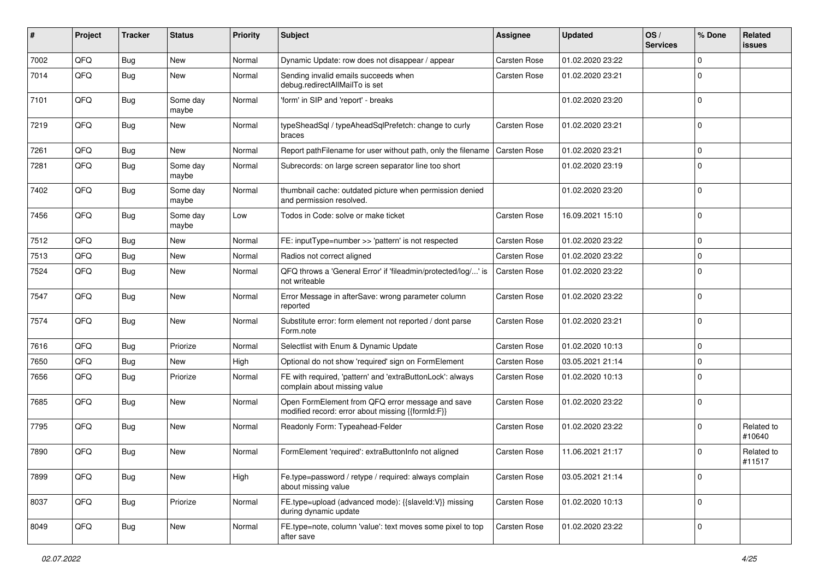| #    | Project | <b>Tracker</b> | <b>Status</b>     | <b>Priority</b> | <b>Subject</b>                                                                                        | Assignee            | <b>Updated</b>   | OS/<br><b>Services</b> | % Done      | Related<br>issues    |
|------|---------|----------------|-------------------|-----------------|-------------------------------------------------------------------------------------------------------|---------------------|------------------|------------------------|-------------|----------------------|
| 7002 | QFQ     | Bug            | New               | Normal          | Dynamic Update: row does not disappear / appear                                                       | Carsten Rose        | 01.02.2020 23:22 |                        | $\Omega$    |                      |
| 7014 | QFQ     | Bug            | <b>New</b>        | Normal          | Sending invalid emails succeeds when<br>debug.redirectAllMailTo is set                                | Carsten Rose        | 01.02.2020 23:21 |                        | $\Omega$    |                      |
| 7101 | QFQ     | <b>Bug</b>     | Some day<br>maybe | Normal          | 'form' in SIP and 'report' - breaks                                                                   |                     | 01.02.2020 23:20 |                        | $\Omega$    |                      |
| 7219 | QFQ     | <b>Bug</b>     | <b>New</b>        | Normal          | typeSheadSql / typeAheadSqlPrefetch: change to curly<br>braces                                        | Carsten Rose        | 01.02.2020 23:21 |                        | $\Omega$    |                      |
| 7261 | QFQ     | <b>Bug</b>     | New               | Normal          | Report pathFilename for user without path, only the filename                                          | <b>Carsten Rose</b> | 01.02.2020 23:21 |                        | $\Omega$    |                      |
| 7281 | QFQ     | Bug            | Some day<br>maybe | Normal          | Subrecords: on large screen separator line too short                                                  |                     | 01.02.2020 23:19 |                        | 0           |                      |
| 7402 | QFQ     | <b>Bug</b>     | Some day<br>maybe | Normal          | thumbnail cache: outdated picture when permission denied<br>and permission resolved.                  |                     | 01.02.2020 23:20 |                        | $\Omega$    |                      |
| 7456 | QFQ     | Bug            | Some day<br>maybe | Low             | Todos in Code: solve or make ticket                                                                   | Carsten Rose        | 16.09.2021 15:10 |                        | 0           |                      |
| 7512 | QFQ     | Bug            | New               | Normal          | FE: inputType=number >> 'pattern' is not respected                                                    | Carsten Rose        | 01.02.2020 23:22 |                        | $\Omega$    |                      |
| 7513 | QFQ     | Bug            | New               | Normal          | Radios not correct aligned                                                                            | Carsten Rose        | 01.02.2020 23:22 |                        | 0           |                      |
| 7524 | QFQ     | Bug            | New               | Normal          | QFQ throws a 'General Error' if 'fileadmin/protected/log/' is<br>not writeable                        | <b>Carsten Rose</b> | 01.02.2020 23:22 |                        | $\Omega$    |                      |
| 7547 | QFQ     | <b>Bug</b>     | <b>New</b>        | Normal          | Error Message in afterSave: wrong parameter column<br>reported                                        | Carsten Rose        | 01.02.2020 23:22 |                        | $\Omega$    |                      |
| 7574 | QFQ     | <b>Bug</b>     | <b>New</b>        | Normal          | Substitute error: form element not reported / dont parse<br>Form.note                                 | Carsten Rose        | 01.02.2020 23:21 |                        | $\Omega$    |                      |
| 7616 | QFQ     | Bug            | Priorize          | Normal          | Selectlist with Enum & Dynamic Update                                                                 | Carsten Rose        | 01.02.2020 10:13 |                        | $\mathbf 0$ |                      |
| 7650 | QFQ     | Bug            | New               | High            | Optional do not show 'required' sign on FormElement                                                   | Carsten Rose        | 03.05.2021 21:14 |                        | $\mathbf 0$ |                      |
| 7656 | QFQ     | <b>Bug</b>     | Priorize          | Normal          | FE with required, 'pattern' and 'extraButtonLock': always<br>complain about missing value             | Carsten Rose        | 01.02.2020 10:13 |                        | 0           |                      |
| 7685 | QFQ     | <b>Bug</b>     | New               | Normal          | Open FormElement from QFQ error message and save<br>modified record: error about missing {{formId:F}} | Carsten Rose        | 01.02.2020 23:22 |                        | $\Omega$    |                      |
| 7795 | QFQ     | <b>Bug</b>     | <b>New</b>        | Normal          | Readonly Form: Typeahead-Felder                                                                       | Carsten Rose        | 01.02.2020 23:22 |                        | 0           | Related to<br>#10640 |
| 7890 | QFQ     | Bug            | <b>New</b>        | Normal          | FormElement 'required': extraButtonInfo not aligned                                                   | <b>Carsten Rose</b> | 11.06.2021 21:17 |                        | $\Omega$    | Related to<br>#11517 |
| 7899 | QFQ     | <b>Bug</b>     | New               | High            | Fe.type=password / retype / required: always complain<br>about missing value                          | Carsten Rose        | 03.05.2021 21:14 |                        | 0           |                      |
| 8037 | QFQ     | <b>Bug</b>     | Priorize          | Normal          | FE.type=upload (advanced mode): {{slaveId:V}} missing<br>during dynamic update                        | Carsten Rose        | 01.02.2020 10:13 |                        | 0           |                      |
| 8049 | QFQ     | <b>Bug</b>     | New               | Normal          | FE.type=note, column 'value': text moves some pixel to top<br>after save                              | Carsten Rose        | 01.02.2020 23:22 |                        | 0           |                      |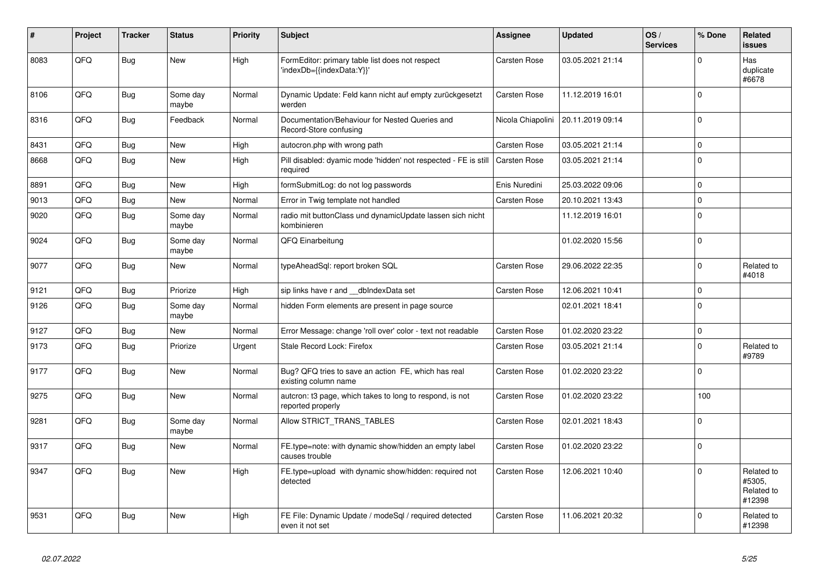| #    | Project | <b>Tracker</b> | <b>Status</b>     | <b>Priority</b> | <b>Subject</b>                                                                | Assignee            | <b>Updated</b>   | OS/<br><b>Services</b> | % Done       | Related<br><b>issues</b>                     |
|------|---------|----------------|-------------------|-----------------|-------------------------------------------------------------------------------|---------------------|------------------|------------------------|--------------|----------------------------------------------|
| 8083 | QFQ     | <b>Bug</b>     | <b>New</b>        | High            | FormEditor: primary table list does not respect<br>'indexDb={{indexData:Y}}'  | Carsten Rose        | 03.05.2021 21:14 |                        | $\Omega$     | Has<br>duplicate<br>#6678                    |
| 8106 | QFQ     | Bug            | Some day<br>maybe | Normal          | Dynamic Update: Feld kann nicht auf empty zurückgesetzt<br>werden             | <b>Carsten Rose</b> | 11.12.2019 16:01 |                        | $\Omega$     |                                              |
| 8316 | QFQ     | <b>Bug</b>     | Feedback          | Normal          | Documentation/Behaviour for Nested Queries and<br>Record-Store confusing      | Nicola Chiapolini   | 20.11.2019 09:14 |                        | $\Omega$     |                                              |
| 8431 | QFQ     | <b>Bug</b>     | New               | High            | autocron.php with wrong path                                                  | Carsten Rose        | 03.05.2021 21:14 |                        | $\mathbf 0$  |                                              |
| 8668 | QFQ     | <b>Bug</b>     | <b>New</b>        | High            | Pill disabled: dyamic mode 'hidden' not respected - FE is still<br>required   | Carsten Rose        | 03.05.2021 21:14 |                        | $\Omega$     |                                              |
| 8891 | QFQ     | Bug            | <b>New</b>        | High            | formSubmitLog: do not log passwords                                           | Enis Nuredini       | 25.03.2022 09:06 |                        | $\Omega$     |                                              |
| 9013 | QFQ     | <b>Bug</b>     | <b>New</b>        | Normal          | Error in Twig template not handled                                            | <b>Carsten Rose</b> | 20.10.2021 13:43 |                        | $\Omega$     |                                              |
| 9020 | QFQ     | Bug            | Some day<br>maybe | Normal          | radio mit buttonClass und dynamicUpdate lassen sich nicht<br>kombinieren      |                     | 11.12.2019 16:01 |                        | $\Omega$     |                                              |
| 9024 | QFQ     | <b>Bug</b>     | Some day<br>maybe | Normal          | QFQ Einarbeitung                                                              |                     | 01.02.2020 15:56 |                        | $\Omega$     |                                              |
| 9077 | QFQ     | <b>Bug</b>     | New               | Normal          | typeAheadSql: report broken SQL                                               | <b>Carsten Rose</b> | 29.06.2022 22:35 |                        | $\Omega$     | Related to<br>#4018                          |
| 9121 | QFQ     | Bug            | Priorize          | High            | sip links have r and dblndexData set                                          | <b>Carsten Rose</b> | 12.06.2021 10:41 |                        | $\Omega$     |                                              |
| 9126 | QFQ     | <b>Bug</b>     | Some day<br>maybe | Normal          | hidden Form elements are present in page source                               |                     | 02.01.2021 18:41 |                        | $\Omega$     |                                              |
| 9127 | QFQ     | <b>Bug</b>     | New               | Normal          | Error Message: change 'roll over' color - text not readable                   | <b>Carsten Rose</b> | 01.02.2020 23:22 |                        | $\Omega$     |                                              |
| 9173 | QFQ     | <b>Bug</b>     | Priorize          | Urgent          | Stale Record Lock: Firefox                                                    | Carsten Rose        | 03.05.2021 21:14 |                        | <sup>0</sup> | Related to<br>#9789                          |
| 9177 | QFQ     | <b>Bug</b>     | New               | Normal          | Bug? QFQ tries to save an action FE, which has real<br>existing column name   | Carsten Rose        | 01.02.2020 23:22 |                        | $\Omega$     |                                              |
| 9275 | QFQ     | <b>Bug</b>     | <b>New</b>        | Normal          | autcron: t3 page, which takes to long to respond, is not<br>reported properly | Carsten Rose        | 01.02.2020 23:22 |                        | 100          |                                              |
| 9281 | QFQ     | <b>Bug</b>     | Some day<br>maybe | Normal          | Allow STRICT_TRANS_TABLES                                                     | <b>Carsten Rose</b> | 02.01.2021 18:43 |                        | $\Omega$     |                                              |
| 9317 | QFQ     | Bug            | <b>New</b>        | Normal          | FE.type=note: with dynamic show/hidden an empty label<br>causes trouble       | Carsten Rose        | 01.02.2020 23:22 |                        | $\Omega$     |                                              |
| 9347 | QFQ     | <b>Bug</b>     | <b>New</b>        | High            | FE.type=upload with dynamic show/hidden: required not<br>detected             | Carsten Rose        | 12.06.2021 10:40 |                        | 0            | Related to<br>#5305,<br>Related to<br>#12398 |
| 9531 | QFQ     | Bug            | New               | High            | FE File: Dynamic Update / modeSql / required detected<br>even it not set      | Carsten Rose        | 11.06.2021 20:32 |                        | $\Omega$     | Related to<br>#12398                         |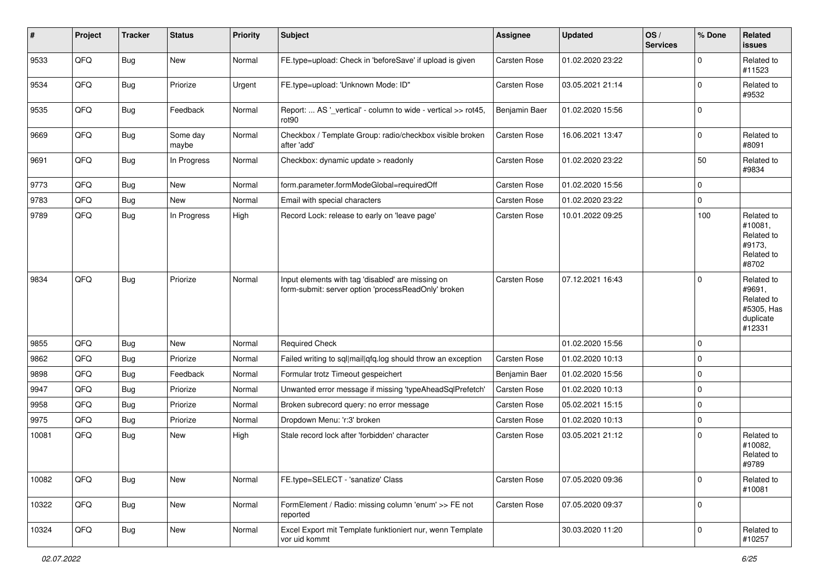| #     | Project | <b>Tracker</b> | <b>Status</b>     | <b>Priority</b> | Subject                                                                                                  | <b>Assignee</b> | <b>Updated</b>   | OS/<br><b>Services</b> | % Done      | Related<br><b>issues</b>                                                |
|-------|---------|----------------|-------------------|-----------------|----------------------------------------------------------------------------------------------------------|-----------------|------------------|------------------------|-------------|-------------------------------------------------------------------------|
| 9533  | QFQ     | <b>Bug</b>     | New               | Normal          | FE.type=upload: Check in 'beforeSave' if upload is given                                                 | Carsten Rose    | 01.02.2020 23:22 |                        | $\mathbf 0$ | Related to<br>#11523                                                    |
| 9534  | QFQ     | <b>Bug</b>     | Priorize          | Urgent          | FE.type=upload: 'Unknown Mode: ID"                                                                       | Carsten Rose    | 03.05.2021 21:14 |                        | $\mathbf 0$ | Related to<br>#9532                                                     |
| 9535  | QFQ     | <b>Bug</b>     | Feedback          | Normal          | Report:  AS '_vertical' - column to wide - vertical >> rot45,<br>rot <sub>90</sub>                       | Benjamin Baer   | 01.02.2020 15:56 |                        | $\mathbf 0$ |                                                                         |
| 9669  | QFQ     | <b>Bug</b>     | Some day<br>maybe | Normal          | Checkbox / Template Group: radio/checkbox visible broken<br>after 'add'                                  | Carsten Rose    | 16.06.2021 13:47 |                        | $\mathbf 0$ | Related to<br>#8091                                                     |
| 9691  | QFQ     | Bug            | In Progress       | Normal          | Checkbox: dynamic update > readonly                                                                      | Carsten Rose    | 01.02.2020 23:22 |                        | 50          | Related to<br>#9834                                                     |
| 9773  | QFQ     | Bug            | New               | Normal          | form.parameter.formModeGlobal=requiredOff                                                                | Carsten Rose    | 01.02.2020 15:56 |                        | $\mathbf 0$ |                                                                         |
| 9783  | QFQ     | Bug            | New               | Normal          | Email with special characters                                                                            | Carsten Rose    | 01.02.2020 23:22 |                        | $\mathbf 0$ |                                                                         |
| 9789  | QFQ     | <b>Bug</b>     | In Progress       | High            | Record Lock: release to early on 'leave page'                                                            | Carsten Rose    | 10.01.2022 09:25 |                        | 100         | Related to<br>#10081,<br>Related to<br>#9173.<br>Related to<br>#8702    |
| 9834  | QFQ     | <b>Bug</b>     | Priorize          | Normal          | Input elements with tag 'disabled' are missing on<br>form-submit: server option 'processReadOnly' broken | Carsten Rose    | 07.12.2021 16:43 |                        | $\mathbf 0$ | Related to<br>#9691,<br>Related to<br>#5305, Has<br>duplicate<br>#12331 |
| 9855  | QFQ     | Bug            | New               | Normal          | <b>Required Check</b>                                                                                    |                 | 01.02.2020 15:56 |                        | $\mathbf 0$ |                                                                         |
| 9862  | QFQ     | <b>Bug</b>     | Priorize          | Normal          | Failed writing to sql mail qfq.log should throw an exception                                             | Carsten Rose    | 01.02.2020 10:13 |                        | $\mathbf 0$ |                                                                         |
| 9898  | QFQ     | <b>Bug</b>     | Feedback          | Normal          | Formular trotz Timeout gespeichert                                                                       | Benjamin Baer   | 01.02.2020 15:56 |                        | $\mathbf 0$ |                                                                         |
| 9947  | QFQ     | <b>Bug</b>     | Priorize          | Normal          | Unwanted error message if missing 'typeAheadSqlPrefetch'                                                 | Carsten Rose    | 01.02.2020 10:13 |                        | $\mathbf 0$ |                                                                         |
| 9958  | QFQ     | Bug            | Priorize          | Normal          | Broken subrecord query: no error message                                                                 | Carsten Rose    | 05.02.2021 15:15 |                        | $\mathbf 0$ |                                                                         |
| 9975  | QFQ     | <b>Bug</b>     | Priorize          | Normal          | Dropdown Menu: 'r:3' broken                                                                              | Carsten Rose    | 01.02.2020 10:13 |                        | $\mathbf 0$ |                                                                         |
| 10081 | QFQ     | <b>Bug</b>     | New               | High            | Stale record lock after 'forbidden' character                                                            | Carsten Rose    | 03.05.2021 21:12 |                        | $\mathbf 0$ | Related to<br>#10082,<br>Related to<br>#9789                            |
| 10082 | QFQ     | <b>Bug</b>     | New               | Normal          | FE.type=SELECT - 'sanatize' Class                                                                        | Carsten Rose    | 07.05.2020 09:36 |                        | $\mathbf 0$ | Related to<br>#10081                                                    |
| 10322 | QFQ     | <b>Bug</b>     | New               | Normal          | FormElement / Radio: missing column 'enum' >> FE not<br>reported                                         | Carsten Rose    | 07.05.2020 09:37 |                        | $\mathbf 0$ |                                                                         |
| 10324 | QFQ     | <b>Bug</b>     | New               | Normal          | Excel Export mit Template funktioniert nur, wenn Template<br>vor uid kommt                               |                 | 30.03.2020 11:20 |                        | $\pmb{0}$   | Related to<br>#10257                                                    |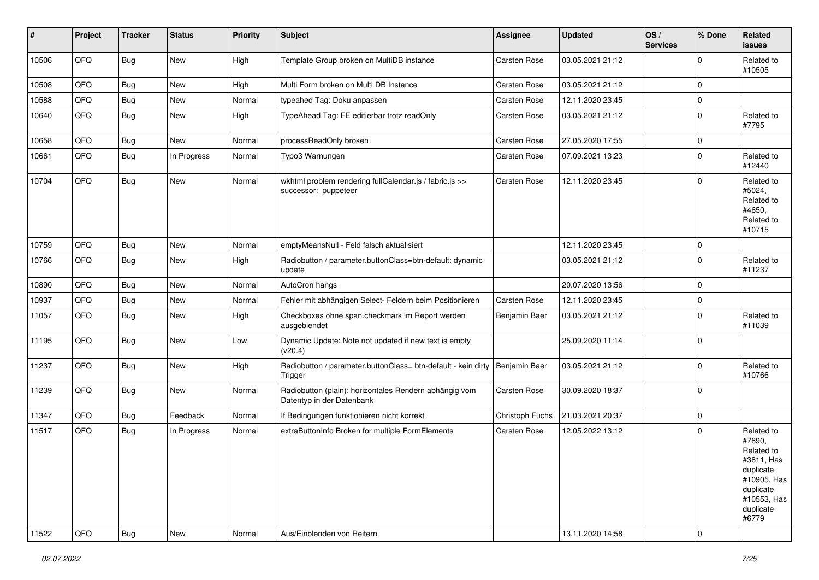| #     | Project | <b>Tracker</b> | <b>Status</b> | <b>Priority</b> | Subject                                                                             | Assignee            | <b>Updated</b>   | OS/<br><b>Services</b> | % Done      | Related<br><b>issues</b>                                                                                                       |
|-------|---------|----------------|---------------|-----------------|-------------------------------------------------------------------------------------|---------------------|------------------|------------------------|-------------|--------------------------------------------------------------------------------------------------------------------------------|
| 10506 | QFQ     | <b>Bug</b>     | <b>New</b>    | High            | Template Group broken on MultiDB instance                                           | Carsten Rose        | 03.05.2021 21:12 |                        | $\Omega$    | Related to<br>#10505                                                                                                           |
| 10508 | QFQ     | <b>Bug</b>     | <b>New</b>    | High            | Multi Form broken on Multi DB Instance                                              | Carsten Rose        | 03.05.2021 21:12 |                        | $\mathbf 0$ |                                                                                                                                |
| 10588 | QFQ     | <b>Bug</b>     | New           | Normal          | typeahed Tag: Doku anpassen                                                         | Carsten Rose        | 12.11.2020 23:45 |                        | $\mathbf 0$ |                                                                                                                                |
| 10640 | QFQ     | <b>Bug</b>     | <b>New</b>    | High            | TypeAhead Tag: FE editierbar trotz readOnly                                         | Carsten Rose        | 03.05.2021 21:12 |                        | $\mathbf 0$ | Related to<br>#7795                                                                                                            |
| 10658 | QFQ     | <b>Bug</b>     | New           | Normal          | processReadOnly broken                                                              | <b>Carsten Rose</b> | 27.05.2020 17:55 |                        | $\mathbf 0$ |                                                                                                                                |
| 10661 | QFQ     | <b>Bug</b>     | In Progress   | Normal          | Typo3 Warnungen                                                                     | Carsten Rose        | 07.09.2021 13:23 |                        | $\mathbf 0$ | Related to<br>#12440                                                                                                           |
| 10704 | QFQ     | <b>Bug</b>     | New           | Normal          | wkhtml problem rendering fullCalendar.js / fabric.js >><br>successor: puppeteer     | Carsten Rose        | 12.11.2020 23:45 |                        | $\mathbf 0$ | Related to<br>#5024,<br>Related to<br>#4650,<br>Related to<br>#10715                                                           |
| 10759 | QFQ     | <b>Bug</b>     | <b>New</b>    | Normal          | emptyMeansNull - Feld falsch aktualisiert                                           |                     | 12.11.2020 23:45 |                        | $\mathbf 0$ |                                                                                                                                |
| 10766 | QFQ     | <b>Bug</b>     | New           | High            | Radiobutton / parameter.buttonClass=btn-default: dynamic<br>update                  |                     | 03.05.2021 21:12 |                        | $\mathbf 0$ | Related to<br>#11237                                                                                                           |
| 10890 | QFQ     | <b>Bug</b>     | New           | Normal          | AutoCron hangs                                                                      |                     | 20.07.2020 13:56 |                        | $\mathbf 0$ |                                                                                                                                |
| 10937 | QFQ     | <b>Bug</b>     | <b>New</b>    | Normal          | Fehler mit abhängigen Select- Feldern beim Positionieren                            | Carsten Rose        | 12.11.2020 23:45 |                        | $\mathbf 0$ |                                                                                                                                |
| 11057 | QFQ     | <b>Bug</b>     | <b>New</b>    | High            | Checkboxes ohne span.checkmark im Report werden<br>ausgeblendet                     | Benjamin Baer       | 03.05.2021 21:12 |                        | $\mathbf 0$ | Related to<br>#11039                                                                                                           |
| 11195 | QFQ     | <b>Bug</b>     | <b>New</b>    | Low             | Dynamic Update: Note not updated if new text is empty<br>(v20.4)                    |                     | 25.09.2020 11:14 |                        | $\mathbf 0$ |                                                                                                                                |
| 11237 | QFQ     | <b>Bug</b>     | <b>New</b>    | High            | Radiobutton / parameter.buttonClass= btn-default - kein dirty<br>Trigger            | Benjamin Baer       | 03.05.2021 21:12 |                        | $\Omega$    | Related to<br>#10766                                                                                                           |
| 11239 | QFQ     | <b>Bug</b>     | New           | Normal          | Radiobutton (plain): horizontales Rendern abhängig vom<br>Datentyp in der Datenbank | Carsten Rose        | 30.09.2020 18:37 |                        | $\mathbf 0$ |                                                                                                                                |
| 11347 | QFQ     | <b>Bug</b>     | Feedback      | Normal          | If Bedingungen funktionieren nicht korrekt                                          | Christoph Fuchs     | 21.03.2021 20:37 |                        | $\mathbf 0$ |                                                                                                                                |
| 11517 | QFQ     | <b>Bug</b>     | In Progress   | Normal          | extraButtonInfo Broken for multiple FormElements                                    | Carsten Rose        | 12.05.2022 13:12 |                        | $\mathbf 0$ | Related to<br>#7890,<br>Related to<br>#3811, Has<br>duplicate<br>#10905, Has<br>duplicate<br>#10553, Has<br>duplicate<br>#6779 |
| 11522 | QFQ     | Bug            | New           | Normal          | Aus/Einblenden von Reitern                                                          |                     | 13.11.2020 14:58 |                        | $\pmb{0}$   |                                                                                                                                |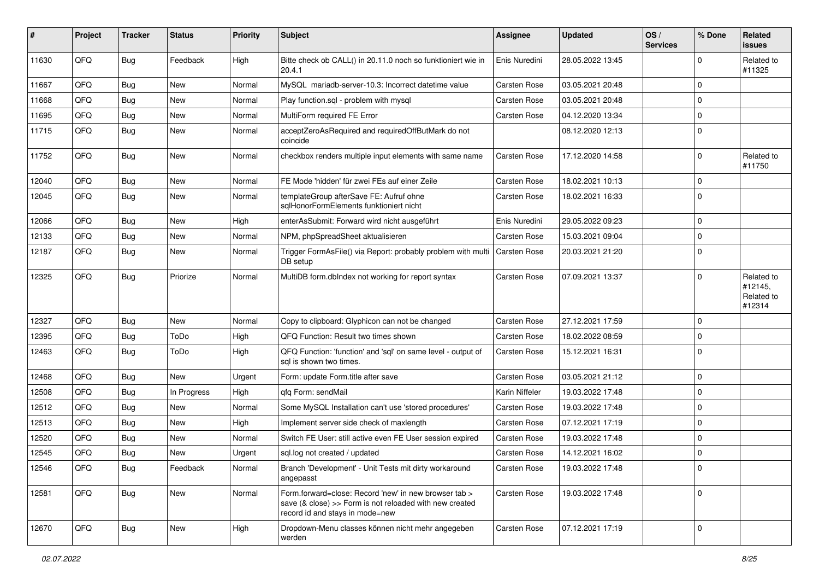| #     | Project | <b>Tracker</b> | <b>Status</b> | <b>Priority</b> | <b>Subject</b>                                                                                                                                      | Assignee       | <b>Updated</b>   | OS/<br><b>Services</b> | % Done      | Related<br><b>issues</b>                      |
|-------|---------|----------------|---------------|-----------------|-----------------------------------------------------------------------------------------------------------------------------------------------------|----------------|------------------|------------------------|-------------|-----------------------------------------------|
| 11630 | QFQ     | Bug            | Feedback      | High            | Bitte check ob CALL() in 20.11.0 noch so funktioniert wie in<br>20.4.1                                                                              | Enis Nuredini  | 28.05.2022 13:45 |                        | 0           | Related to<br>#11325                          |
| 11667 | QFQ     | <b>Bug</b>     | <b>New</b>    | Normal          | MySQL mariadb-server-10.3: Incorrect datetime value                                                                                                 | Carsten Rose   | 03.05.2021 20:48 |                        | $\Omega$    |                                               |
| 11668 | QFQ     | <b>Bug</b>     | <b>New</b>    | Normal          | Play function.sql - problem with mysql                                                                                                              | Carsten Rose   | 03.05.2021 20:48 |                        | 0           |                                               |
| 11695 | QFQ     | <b>Bug</b>     | <b>New</b>    | Normal          | MultiForm required FE Error                                                                                                                         | Carsten Rose   | 04.12.2020 13:34 |                        | 0           |                                               |
| 11715 | QFQ     | <b>Bug</b>     | New           | Normal          | acceptZeroAsRequired and requiredOffButMark do not<br>coincide                                                                                      |                | 08.12.2020 12:13 |                        | $\Omega$    |                                               |
| 11752 | QFQ     | <b>Bug</b>     | <b>New</b>    | Normal          | checkbox renders multiple input elements with same name                                                                                             | Carsten Rose   | 17.12.2020 14:58 |                        | 0           | Related to<br>#11750                          |
| 12040 | QFQ     | <b>Bug</b>     | <b>New</b>    | Normal          | FE Mode 'hidden' für zwei FEs auf einer Zeile                                                                                                       | Carsten Rose   | 18.02.2021 10:13 |                        | $\mathbf 0$ |                                               |
| 12045 | QFQ     | <b>Bug</b>     | <b>New</b>    | Normal          | templateGroup afterSave FE: Aufruf ohne<br>sqlHonorFormElements funktioniert nicht                                                                  | Carsten Rose   | 18.02.2021 16:33 |                        | $\Omega$    |                                               |
| 12066 | QFQ     | <b>Bug</b>     | New           | High            | enterAsSubmit: Forward wird nicht ausgeführt                                                                                                        | Enis Nuredini  | 29.05.2022 09:23 |                        | $\Omega$    |                                               |
| 12133 | QFQ     | <b>Bug</b>     | <b>New</b>    | Normal          | NPM, phpSpreadSheet aktualisieren                                                                                                                   | Carsten Rose   | 15.03.2021 09:04 |                        | $\Omega$    |                                               |
| 12187 | QFQ     | <b>Bug</b>     | New           | Normal          | Trigger FormAsFile() via Report: probably problem with multi<br>DB setup                                                                            | Carsten Rose   | 20.03.2021 21:20 |                        | $\Omega$    |                                               |
| 12325 | QFQ     | <b>Bug</b>     | Priorize      | Normal          | MultiDB form.dbIndex not working for report syntax                                                                                                  | Carsten Rose   | 07.09.2021 13:37 |                        | $\Omega$    | Related to<br>#12145,<br>Related to<br>#12314 |
| 12327 | QFQ     | <b>Bug</b>     | New           | Normal          | Copy to clipboard: Glyphicon can not be changed                                                                                                     | Carsten Rose   | 27.12.2021 17:59 |                        | $\mathbf 0$ |                                               |
| 12395 | QFQ     | <b>Bug</b>     | ToDo          | High            | QFQ Function: Result two times shown                                                                                                                | Carsten Rose   | 18.02.2022 08:59 |                        | $\Omega$    |                                               |
| 12463 | QFQ     | Bug            | ToDo          | High            | QFQ Function: 'function' and 'sql' on same level - output of<br>sal is shown two times.                                                             | Carsten Rose   | 15.12.2021 16:31 |                        | $\mathbf 0$ |                                               |
| 12468 | QFQ     | Bug            | New           | Urgent          | Form: update Form.title after save                                                                                                                  | Carsten Rose   | 03.05.2021 21:12 |                        | $\mathbf 0$ |                                               |
| 12508 | QFQ     | Bug            | In Progress   | High            | gfg Form: sendMail                                                                                                                                  | Karin Niffeler | 19.03.2022 17:48 |                        | $\mathbf 0$ |                                               |
| 12512 | QFQ     | Bug            | New           | Normal          | Some MySQL Installation can't use 'stored procedures'                                                                                               | Carsten Rose   | 19.03.2022 17:48 |                        | 0           |                                               |
| 12513 | QFQ     | Bug            | <b>New</b>    | High            | Implement server side check of maxlength                                                                                                            | Carsten Rose   | 07.12.2021 17:19 |                        | $\Omega$    |                                               |
| 12520 | QFQ     | <b>Bug</b>     | New           | Normal          | Switch FE User: still active even FE User session expired                                                                                           | Carsten Rose   | 19.03.2022 17:48 |                        | $\mathbf 0$ |                                               |
| 12545 | QFQ     | <b>Bug</b>     | <b>New</b>    | Urgent          | sql.log not created / updated                                                                                                                       | Carsten Rose   | 14.12.2021 16:02 |                        | $\Omega$    |                                               |
| 12546 | QFQ     | Bug            | Feedback      | Normal          | Branch 'Development' - Unit Tests mit dirty workaround<br>angepasst                                                                                 | Carsten Rose   | 19.03.2022 17:48 |                        | 0           |                                               |
| 12581 | QFQ     | Bug            | New           | Normal          | Form.forward=close: Record 'new' in new browser tab ><br>save (& close) >> Form is not reloaded with new created<br>record id and stays in mode=new | Carsten Rose   | 19.03.2022 17:48 |                        | $\Omega$    |                                               |
| 12670 | QFQ     | Bug            | New           | High            | Dropdown-Menu classes können nicht mehr angegeben<br>werden                                                                                         | Carsten Rose   | 07.12.2021 17:19 |                        | $\mathbf 0$ |                                               |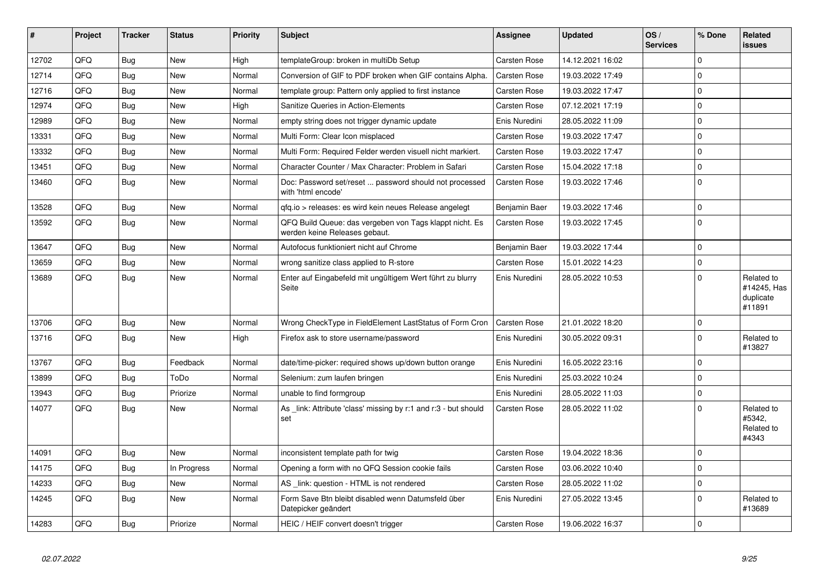| #     | Project | <b>Tracker</b> | <b>Status</b> | Priority | <b>Subject</b>                                                                           | Assignee            | <b>Updated</b>   | OS/<br><b>Services</b> | % Done      | <b>Related</b><br><b>issues</b>                  |
|-------|---------|----------------|---------------|----------|------------------------------------------------------------------------------------------|---------------------|------------------|------------------------|-------------|--------------------------------------------------|
| 12702 | QFQ     | Bug            | <b>New</b>    | High     | templateGroup: broken in multiDb Setup                                                   | Carsten Rose        | 14.12.2021 16:02 |                        | $\Omega$    |                                                  |
| 12714 | QFQ     | Bug            | <b>New</b>    | Normal   | Conversion of GIF to PDF broken when GIF contains Alpha.                                 | Carsten Rose        | 19.03.2022 17:49 |                        | $\mathbf 0$ |                                                  |
| 12716 | QFQ     | Bug            | <b>New</b>    | Normal   | template group: Pattern only applied to first instance                                   | <b>Carsten Rose</b> | 19.03.2022 17:47 |                        | $\Omega$    |                                                  |
| 12974 | QFQ     | Bug            | <b>New</b>    | High     | Sanitize Queries in Action-Elements                                                      | Carsten Rose        | 07.12.2021 17:19 |                        | $\Omega$    |                                                  |
| 12989 | QFQ     | Bug            | <b>New</b>    | Normal   | empty string does not trigger dynamic update                                             | Enis Nuredini       | 28.05.2022 11:09 |                        | $\mathbf 0$ |                                                  |
| 13331 | QFQ     | <b>Bug</b>     | <b>New</b>    | Normal   | Multi Form: Clear Icon misplaced                                                         | Carsten Rose        | 19.03.2022 17:47 |                        | $\Omega$    |                                                  |
| 13332 | QFQ     | Bug            | <b>New</b>    | Normal   | Multi Form: Required Felder werden visuell nicht markiert.                               | Carsten Rose        | 19.03.2022 17:47 |                        | $\Omega$    |                                                  |
| 13451 | QFQ     | Bug            | <b>New</b>    | Normal   | Character Counter / Max Character: Problem in Safari                                     | <b>Carsten Rose</b> | 15.04.2022 17:18 |                        | $\Omega$    |                                                  |
| 13460 | QFQ     | Bug            | New           | Normal   | Doc: Password set/reset  password should not processed<br>with 'html encode'             | Carsten Rose        | 19.03.2022 17:46 |                        | $\Omega$    |                                                  |
| 13528 | QFQ     | Bug            | <b>New</b>    | Normal   | gfg.io > releases: es wird kein neues Release angelegt                                   | Benjamin Baer       | 19.03.2022 17:46 |                        | $\Omega$    |                                                  |
| 13592 | QFQ     | Bug            | <b>New</b>    | Normal   | QFQ Build Queue: das vergeben von Tags klappt nicht. Es<br>werden keine Releases gebaut. | Carsten Rose        | 19.03.2022 17:45 |                        | $\Omega$    |                                                  |
| 13647 | QFQ     | Bug            | <b>New</b>    | Normal   | Autofocus funktioniert nicht auf Chrome                                                  | Benjamin Baer       | 19.03.2022 17:44 |                        | $\mathbf 0$ |                                                  |
| 13659 | QFQ     | Bug            | <b>New</b>    | Normal   | wrong sanitize class applied to R-store                                                  | Carsten Rose        | 15.01.2022 14:23 |                        | $\Omega$    |                                                  |
| 13689 | QFQ     | <b>Bug</b>     | New           | Normal   | Enter auf Eingabefeld mit ungültigem Wert führt zu blurry<br>Seite                       | Enis Nuredini       | 28.05.2022 10:53 |                        | $\Omega$    | Related to<br>#14245, Has<br>duplicate<br>#11891 |
| 13706 | QFQ     | <b>Bug</b>     | <b>New</b>    | Normal   | Wrong CheckType in FieldElement LastStatus of Form Cron                                  | Carsten Rose        | 21.01.2022 18:20 |                        | $\mathbf 0$ |                                                  |
| 13716 | QFQ     | Bug            | New           | High     | Firefox ask to store username/password                                                   | Enis Nuredini       | 30.05.2022 09:31 |                        | $\Omega$    | Related to<br>#13827                             |
| 13767 | QFQ     | Bug            | Feedback      | Normal   | date/time-picker: required shows up/down button orange                                   | Enis Nuredini       | 16.05.2022 23:16 |                        | $\Omega$    |                                                  |
| 13899 | QFQ     | <b>Bug</b>     | ToDo          | Normal   | Selenium: zum laufen bringen                                                             | Enis Nuredini       | 25.03.2022 10:24 |                        | $\Omega$    |                                                  |
| 13943 | QFQ     | <b>Bug</b>     | Priorize      | Normal   | unable to find formgroup                                                                 | Enis Nuredini       | 28.05.2022 11:03 |                        | $\mathbf 0$ |                                                  |
| 14077 | QFQ     | Bug            | <b>New</b>    | Normal   | As link: Attribute 'class' missing by r:1 and r:3 - but should<br>set                    | Carsten Rose        | 28.05.2022 11:02 |                        | $\Omega$    | Related to<br>#5342.<br>Related to<br>#4343      |
| 14091 | QFQ     | Bug            | <b>New</b>    | Normal   | inconsistent template path for twig                                                      | Carsten Rose        | 19.04.2022 18:36 |                        | $\Omega$    |                                                  |
| 14175 | QFQ     | Bug            | In Progress   | Normal   | Opening a form with no QFQ Session cookie fails                                          | Carsten Rose        | 03.06.2022 10:40 |                        | $\Omega$    |                                                  |
| 14233 | QFQ     | Bug            | <b>New</b>    | Normal   | AS link: question - HTML is not rendered                                                 | <b>Carsten Rose</b> | 28.05.2022 11:02 |                        | $\Omega$    |                                                  |
| 14245 | QFQ     | Bug            | <b>New</b>    | Normal   | Form Save Btn bleibt disabled wenn Datumsfeld über<br>Datepicker geändert                | Enis Nuredini       | 27.05.2022 13:45 |                        | $\Omega$    | Related to<br>#13689                             |
| 14283 | QFQ     | Bug            | Priorize      | Normal   | HEIC / HEIF convert doesn't trigger                                                      | Carsten Rose        | 19.06.2022 16:37 |                        | $\mathbf 0$ |                                                  |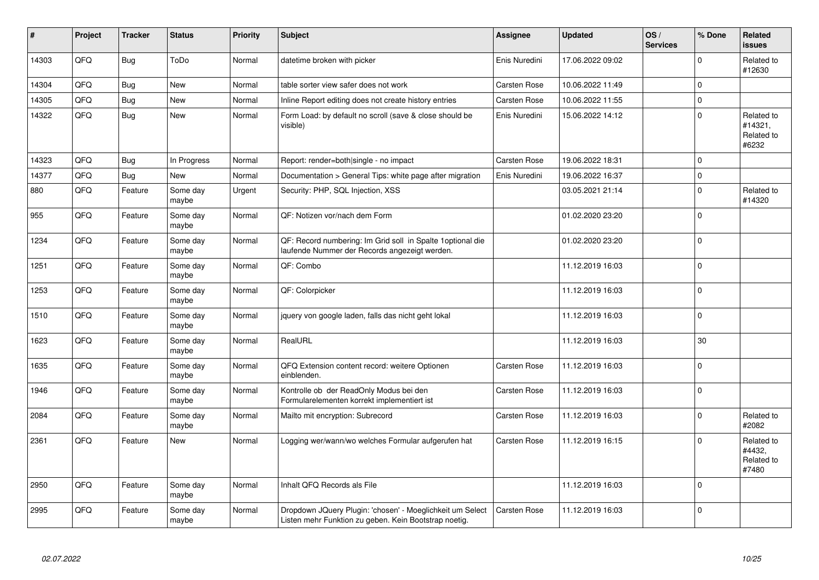| #     | Project | <b>Tracker</b> | <b>Status</b>     | <b>Priority</b> | <b>Subject</b>                                                                                                     | <b>Assignee</b> | <b>Updated</b>   | OS/<br><b>Services</b> | % Done      | <b>Related</b><br><b>issues</b>              |
|-------|---------|----------------|-------------------|-----------------|--------------------------------------------------------------------------------------------------------------------|-----------------|------------------|------------------------|-------------|----------------------------------------------|
| 14303 | QFQ     | <b>Bug</b>     | ToDo              | Normal          | datetime broken with picker                                                                                        | Enis Nuredini   | 17.06.2022 09:02 |                        | $\Omega$    | Related to<br>#12630                         |
| 14304 | QFQ     | <b>Bug</b>     | <b>New</b>        | Normal          | table sorter view safer does not work                                                                              | Carsten Rose    | 10.06.2022 11:49 |                        | $\mathbf 0$ |                                              |
| 14305 | QFQ     | <b>Bug</b>     | New               | Normal          | Inline Report editing does not create history entries                                                              | Carsten Rose    | 10.06.2022 11:55 |                        | $\mathbf 0$ |                                              |
| 14322 | QFQ     | <b>Bug</b>     | New               | Normal          | Form Load: by default no scroll (save & close should be<br>visible)                                                | Enis Nuredini   | 15.06.2022 14:12 |                        | $\mathbf 0$ | Related to<br>#14321,<br>Related to<br>#6232 |
| 14323 | QFQ     | Bug            | In Progress       | Normal          | Report: render=both single - no impact                                                                             | Carsten Rose    | 19.06.2022 18:31 |                        | $\mathbf 0$ |                                              |
| 14377 | QFQ     | <b>Bug</b>     | <b>New</b>        | Normal          | Documentation > General Tips: white page after migration                                                           | Enis Nuredini   | 19.06.2022 16:37 |                        | $\Omega$    |                                              |
| 880   | QFQ     | Feature        | Some day<br>maybe | Urgent          | Security: PHP, SQL Injection, XSS                                                                                  |                 | 03.05.2021 21:14 |                        | $\mathbf 0$ | Related to<br>#14320                         |
| 955   | QFQ     | Feature        | Some day<br>maybe | Normal          | QF: Notizen vor/nach dem Form                                                                                      |                 | 01.02.2020 23:20 |                        | $\Omega$    |                                              |
| 1234  | QFQ     | Feature        | Some day<br>maybe | Normal          | QF: Record numbering: Im Grid soll in Spalte 1 optional die<br>laufende Nummer der Records angezeigt werden.       |                 | 01.02.2020 23:20 |                        | $\mathbf 0$ |                                              |
| 1251  | QFQ     | Feature        | Some day<br>maybe | Normal          | QF: Combo                                                                                                          |                 | 11.12.2019 16:03 |                        | $\mathbf 0$ |                                              |
| 1253  | QFQ     | Feature        | Some day<br>maybe | Normal          | QF: Colorpicker                                                                                                    |                 | 11.12.2019 16:03 |                        | $\mathbf 0$ |                                              |
| 1510  | QFQ     | Feature        | Some day<br>maybe | Normal          | jquery von google laden, falls das nicht geht lokal                                                                |                 | 11.12.2019 16:03 |                        | $\Omega$    |                                              |
| 1623  | QFQ     | Feature        | Some day<br>maybe | Normal          | RealURL                                                                                                            |                 | 11.12.2019 16:03 |                        | 30          |                                              |
| 1635  | QFQ     | Feature        | Some day<br>maybe | Normal          | QFQ Extension content record: weitere Optionen<br>einblenden.                                                      | Carsten Rose    | 11.12.2019 16:03 |                        | $\mathbf 0$ |                                              |
| 1946  | QFQ     | Feature        | Some day<br>maybe | Normal          | Kontrolle ob der ReadOnly Modus bei den<br>Formularelementen korrekt implementiert ist                             | Carsten Rose    | 11.12.2019 16:03 |                        | $\mathbf 0$ |                                              |
| 2084  | QFQ     | Feature        | Some day<br>maybe | Normal          | Mailto mit encryption: Subrecord                                                                                   | Carsten Rose    | 11.12.2019 16:03 |                        | $\mathbf 0$ | Related to<br>#2082                          |
| 2361  | QFQ     | Feature        | <b>New</b>        | Normal          | Logging wer/wann/wo welches Formular aufgerufen hat                                                                | Carsten Rose    | 11.12.2019 16:15 |                        | $\mathbf 0$ | Related to<br>#4432.<br>Related to<br>#7480  |
| 2950  | QFQ     | Feature        | Some day<br>maybe | Normal          | Inhalt QFQ Records als File                                                                                        |                 | 11.12.2019 16:03 |                        | $\Omega$    |                                              |
| 2995  | QFQ     | Feature        | Some day<br>maybe | Normal          | Dropdown JQuery Plugin: 'chosen' - Moeglichkeit um Select<br>Listen mehr Funktion zu geben. Kein Bootstrap noetig. | Carsten Rose    | 11.12.2019 16:03 |                        | $\Omega$    |                                              |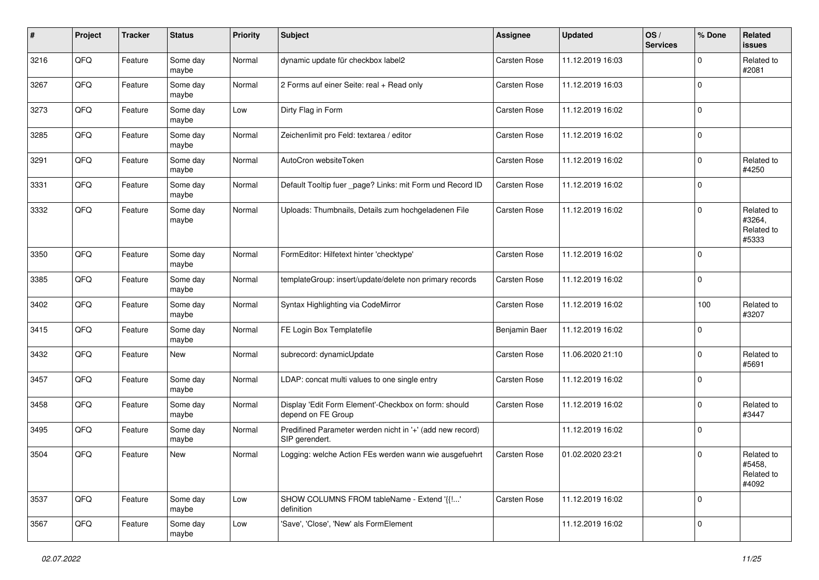| #    | Project | <b>Tracker</b> | <b>Status</b>     | <b>Priority</b> | <b>Subject</b>                                                              | <b>Assignee</b> | <b>Updated</b>   | OS/<br><b>Services</b> | % Done      | Related<br><b>issues</b>                    |
|------|---------|----------------|-------------------|-----------------|-----------------------------------------------------------------------------|-----------------|------------------|------------------------|-------------|---------------------------------------------|
| 3216 | QFQ     | Feature        | Some day<br>maybe | Normal          | dynamic update für checkbox label2                                          | Carsten Rose    | 11.12.2019 16:03 |                        | 0           | Related to<br>#2081                         |
| 3267 | QFQ     | Feature        | Some day<br>maybe | Normal          | 2 Forms auf einer Seite: real + Read only                                   | Carsten Rose    | 11.12.2019 16:03 |                        | $\mathbf 0$ |                                             |
| 3273 | QFQ     | Feature        | Some day<br>maybe | Low             | Dirty Flag in Form                                                          | Carsten Rose    | 11.12.2019 16:02 |                        | $\mathbf 0$ |                                             |
| 3285 | QFQ     | Feature        | Some day<br>maybe | Normal          | Zeichenlimit pro Feld: textarea / editor                                    | Carsten Rose    | 11.12.2019 16:02 |                        | $\mathbf 0$ |                                             |
| 3291 | QFQ     | Feature        | Some day<br>maybe | Normal          | AutoCron websiteToken                                                       | Carsten Rose    | 11.12.2019 16:02 |                        | $\mathbf 0$ | Related to<br>#4250                         |
| 3331 | QFQ     | Feature        | Some day<br>maybe | Normal          | Default Tooltip fuer _page? Links: mit Form und Record ID                   | Carsten Rose    | 11.12.2019 16:02 |                        | $\mathbf 0$ |                                             |
| 3332 | QFQ     | Feature        | Some day<br>maybe | Normal          | Uploads: Thumbnails, Details zum hochgeladenen File                         | Carsten Rose    | 11.12.2019 16:02 |                        | $\mathbf 0$ | Related to<br>#3264,<br>Related to<br>#5333 |
| 3350 | QFQ     | Feature        | Some day<br>maybe | Normal          | FormEditor: Hilfetext hinter 'checktype'                                    | Carsten Rose    | 11.12.2019 16:02 |                        | $\mathbf 0$ |                                             |
| 3385 | QFQ     | Feature        | Some day<br>maybe | Normal          | templateGroup: insert/update/delete non primary records                     | Carsten Rose    | 11.12.2019 16:02 |                        | $\mathbf 0$ |                                             |
| 3402 | QFQ     | Feature        | Some day<br>maybe | Normal          | Syntax Highlighting via CodeMirror                                          | Carsten Rose    | 11.12.2019 16:02 |                        | 100         | Related to<br>#3207                         |
| 3415 | QFQ     | Feature        | Some day<br>maybe | Normal          | FE Login Box Templatefile                                                   | Benjamin Baer   | 11.12.2019 16:02 |                        | $\pmb{0}$   |                                             |
| 3432 | QFQ     | Feature        | New               | Normal          | subrecord: dynamicUpdate                                                    | Carsten Rose    | 11.06.2020 21:10 |                        | $\mathbf 0$ | Related to<br>#5691                         |
| 3457 | QFQ     | Feature        | Some day<br>maybe | Normal          | LDAP: concat multi values to one single entry                               | Carsten Rose    | 11.12.2019 16:02 |                        | $\mathbf 0$ |                                             |
| 3458 | QFQ     | Feature        | Some day<br>maybe | Normal          | Display 'Edit Form Element'-Checkbox on form: should<br>depend on FE Group  | Carsten Rose    | 11.12.2019 16:02 |                        | $\mathbf 0$ | Related to<br>#3447                         |
| 3495 | QFQ     | Feature        | Some day<br>maybe | Normal          | Predifined Parameter werden nicht in '+' (add new record)<br>SIP gerendert. |                 | 11.12.2019 16:02 |                        | $\mathbf 0$ |                                             |
| 3504 | QFQ     | Feature        | New               | Normal          | Logging: welche Action FEs werden wann wie ausgefuehrt                      | Carsten Rose    | 01.02.2020 23:21 |                        | $\mathbf 0$ | Related to<br>#5458,<br>Related to<br>#4092 |
| 3537 | QFQ     | Feature        | Some day<br>maybe | Low             | SHOW COLUMNS FROM tableName - Extend '{{!'<br>definition                    | Carsten Rose    | 11.12.2019 16:02 |                        | $\mathbf 0$ |                                             |
| 3567 | QFQ     | Feature        | Some day<br>maybe | Low             | 'Save', 'Close', 'New' als FormElement                                      |                 | 11.12.2019 16:02 |                        | $\mathbf 0$ |                                             |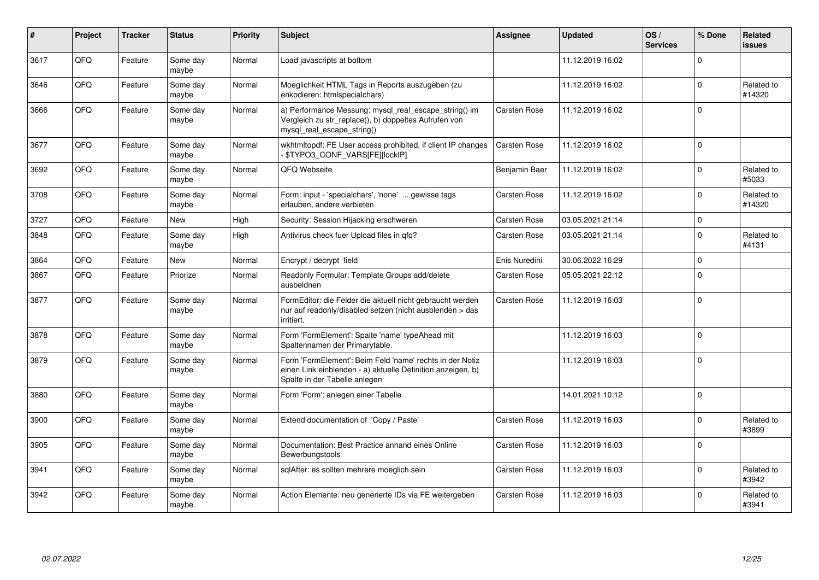| $\pmb{\#}$ | Project | <b>Tracker</b> | <b>Status</b>     | <b>Priority</b> | <b>Subject</b>                                                                                                                                           | Assignee            | <b>Updated</b>   | OS/<br><b>Services</b> | % Done      | Related<br><b>issues</b> |
|------------|---------|----------------|-------------------|-----------------|----------------------------------------------------------------------------------------------------------------------------------------------------------|---------------------|------------------|------------------------|-------------|--------------------------|
| 3617       | QFQ     | Feature        | Some day<br>maybe | Normal          | Load javascripts at bottom                                                                                                                               |                     | 11.12.2019 16:02 |                        | $\Omega$    |                          |
| 3646       | QFQ     | Feature        | Some day<br>maybe | Normal          | Moeglichkeit HTML Tags in Reports auszugeben (zu<br>enkodieren: htmlspecialchars)                                                                        |                     | 11.12.2019 16:02 |                        | $\Omega$    | Related to<br>#14320     |
| 3666       | QFQ     | Feature        | Some day<br>maybe | Normal          | a) Performance Messung: mysql_real_escape_string() im<br>Vergleich zu str_replace(), b) doppeltes Aufrufen von<br>mysql real escape string()             | Carsten Rose        | 11.12.2019 16:02 |                        | $\mathbf 0$ |                          |
| 3677       | QFQ     | Feature        | Some day<br>maybe | Normal          | wkhtmltopdf: FE User access prohibited, if client IP changes<br>\$TYPO3_CONF_VARS[FE][lockIP]                                                            | Carsten Rose        | 11.12.2019 16:02 |                        | $\mathbf 0$ |                          |
| 3692       | QFQ     | Feature        | Some day<br>maybe | Normal          | QFQ Webseite                                                                                                                                             | Benjamin Baer       | 11.12.2019 16:02 |                        | $\mathbf 0$ | Related to<br>#5033      |
| 3708       | QFQ     | Feature        | Some day<br>maybe | Normal          | Form: input - 'specialchars', 'none'  gewisse tags<br>erlauben, andere verbieten                                                                         | <b>Carsten Rose</b> | 11.12.2019 16:02 |                        | $\mathbf 0$ | Related to<br>#14320     |
| 3727       | QFQ     | Feature        | New               | High            | Security: Session Hijacking erschweren                                                                                                                   | Carsten Rose        | 03.05.2021 21:14 |                        | $\mathsf 0$ |                          |
| 3848       | QFQ     | Feature        | Some day<br>maybe | High            | Antivirus check fuer Upload files in qfq?                                                                                                                | Carsten Rose        | 03.05.2021 21:14 |                        | $\mathbf 0$ | Related to<br>#4131      |
| 3864       | QFQ     | Feature        | New               | Normal          | Encrypt / decrypt field                                                                                                                                  | Enis Nuredini       | 30.06.2022 16:29 |                        | $\mathbf 0$ |                          |
| 3867       | QFQ     | Feature        | Priorize          | Normal          | Readonly Formular: Template Groups add/delete<br>ausbeldnen                                                                                              | Carsten Rose        | 05.05.2021 22:12 |                        | $\mathbf 0$ |                          |
| 3877       | QFQ     | Feature        | Some day<br>maybe | Normal          | FormEditor: die Felder die aktuell nicht gebraucht werden<br>nur auf readonly/disabled setzen (nicht ausblenden > das<br>irritiert.                      | Carsten Rose        | 11.12.2019 16:03 |                        | $\mathbf 0$ |                          |
| 3878       | QFQ     | Feature        | Some day<br>maybe | Normal          | Form 'FormElement': Spalte 'name' typeAhead mit<br>Spaltennamen der Primarytable.                                                                        |                     | 11.12.2019 16:03 |                        | $\mathbf 0$ |                          |
| 3879       | QFQ     | Feature        | Some day<br>maybe | Normal          | Form 'FormElement': Beim Feld 'name' rechts in der Notiz<br>einen Link einblenden - a) aktuelle Definition anzeigen, b)<br>Spalte in der Tabelle anlegen |                     | 11.12.2019 16:03 |                        | $\mathbf 0$ |                          |
| 3880       | QFQ     | Feature        | Some day<br>maybe | Normal          | Form 'Form': anlegen einer Tabelle                                                                                                                       |                     | 14.01.2021 10:12 |                        | $\mathbf 0$ |                          |
| 3900       | QFQ     | Feature        | Some day<br>maybe | Normal          | Extend documentation of 'Copy / Paste'                                                                                                                   | Carsten Rose        | 11.12.2019 16:03 |                        | $\Omega$    | Related to<br>#3899      |
| 3905       | QFQ     | Feature        | Some day<br>maybe | Normal          | Documentation: Best Practice anhand eines Online<br>Bewerbungstools                                                                                      | Carsten Rose        | 11.12.2019 16:03 |                        | $\Omega$    |                          |
| 3941       | QFQ     | Feature        | Some day<br>maybe | Normal          | sglAfter: es sollten mehrere moeglich sein                                                                                                               | Carsten Rose        | 11.12.2019 16:03 |                        | $\Omega$    | Related to<br>#3942      |
| 3942       | QFQ     | Feature        | Some day<br>maybe | Normal          | Action Elemente: neu generierte IDs via FE weitergeben                                                                                                   | Carsten Rose        | 11.12.2019 16:03 |                        | $\mathbf 0$ | Related to<br>#3941      |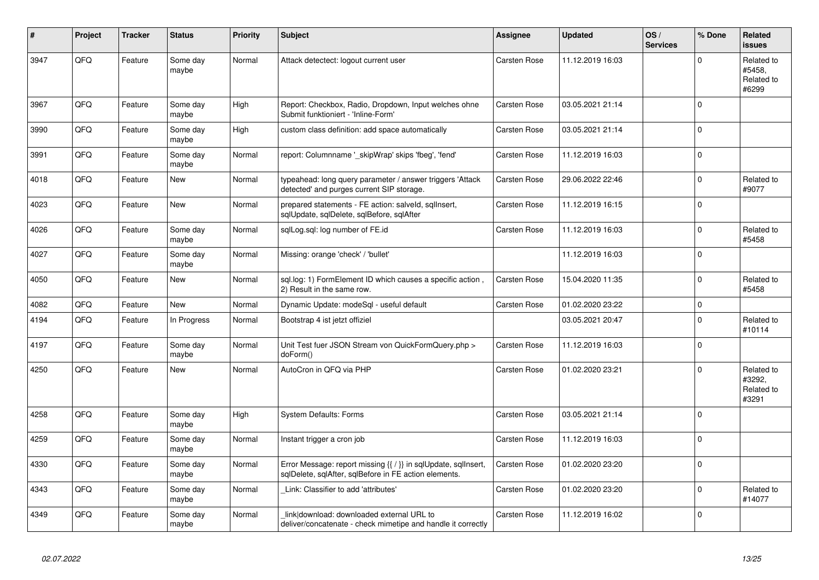| $\pmb{\#}$ | Project | <b>Tracker</b> | <b>Status</b>     | <b>Priority</b> | <b>Subject</b>                                                                                                          | Assignee            | <b>Updated</b>   | OS/<br><b>Services</b> | % Done      | Related<br><b>issues</b>                    |
|------------|---------|----------------|-------------------|-----------------|-------------------------------------------------------------------------------------------------------------------------|---------------------|------------------|------------------------|-------------|---------------------------------------------|
| 3947       | QFQ     | Feature        | Some day<br>maybe | Normal          | Attack detectect: logout current user                                                                                   | Carsten Rose        | 11.12.2019 16:03 |                        | $\mathbf 0$ | Related to<br>#5458,<br>Related to<br>#6299 |
| 3967       | QFQ     | Feature        | Some day<br>maybe | High            | Report: Checkbox, Radio, Dropdown, Input welches ohne<br>Submit funktioniert - 'Inline-Form'                            | Carsten Rose        | 03.05.2021 21:14 |                        | $\mathbf 0$ |                                             |
| 3990       | QFQ     | Feature        | Some day<br>maybe | High            | custom class definition: add space automatically                                                                        | Carsten Rose        | 03.05.2021 21:14 |                        | $\Omega$    |                                             |
| 3991       | QFQ     | Feature        | Some day<br>maybe | Normal          | report: Columnname '_skipWrap' skips 'fbeg', 'fend'                                                                     | Carsten Rose        | 11.12.2019 16:03 |                        | $\Omega$    |                                             |
| 4018       | QFQ     | Feature        | New               | Normal          | typeahead: long query parameter / answer triggers 'Attack<br>detected' and purges current SIP storage.                  | Carsten Rose        | 29.06.2022 22:46 |                        | $\mathbf 0$ | Related to<br>#9077                         |
| 4023       | QFQ     | Feature        | New               | Normal          | prepared statements - FE action: salveld, sqllnsert,<br>sqlUpdate, sqlDelete, sqlBefore, sqlAfter                       | Carsten Rose        | 11.12.2019 16:15 |                        | $\mathbf 0$ |                                             |
| 4026       | QFQ     | Feature        | Some day<br>maybe | Normal          | sglLog.sgl: log number of FE.id                                                                                         | Carsten Rose        | 11.12.2019 16:03 |                        | $\mathbf 0$ | Related to<br>#5458                         |
| 4027       | QFQ     | Feature        | Some day<br>maybe | Normal          | Missing: orange 'check' / 'bullet'                                                                                      |                     | 11.12.2019 16:03 |                        | $\mathbf 0$ |                                             |
| 4050       | QFQ     | Feature        | <b>New</b>        | Normal          | sql.log: 1) FormElement ID which causes a specific action,<br>2) Result in the same row.                                | <b>Carsten Rose</b> | 15.04.2020 11:35 |                        | $\mathbf 0$ | Related to<br>#5458                         |
| 4082       | QFQ     | Feature        | <b>New</b>        | Normal          | Dynamic Update: modeSql - useful default                                                                                | Carsten Rose        | 01.02.2020 23:22 |                        | $\mathbf 0$ |                                             |
| 4194       | QFQ     | Feature        | In Progress       | Normal          | Bootstrap 4 ist jetzt offiziel                                                                                          |                     | 03.05.2021 20:47 |                        | $\mathbf 0$ | Related to<br>#10114                        |
| 4197       | QFQ     | Feature        | Some day<br>maybe | Normal          | Unit Test fuer JSON Stream von QuickFormQuery.php ><br>doForm()                                                         | Carsten Rose        | 11.12.2019 16:03 |                        | $\mathbf 0$ |                                             |
| 4250       | QFQ     | Feature        | <b>New</b>        | Normal          | AutoCron in QFQ via PHP                                                                                                 | Carsten Rose        | 01.02.2020 23:21 |                        | $\mathbf 0$ | Related to<br>#3292,<br>Related to<br>#3291 |
| 4258       | QFQ     | Feature        | Some day<br>maybe | High            | <b>System Defaults: Forms</b>                                                                                           | Carsten Rose        | 03.05.2021 21:14 |                        | $\Omega$    |                                             |
| 4259       | QFQ     | Feature        | Some day<br>maybe | Normal          | Instant trigger a cron job                                                                                              | Carsten Rose        | 11.12.2019 16:03 |                        | $\mathbf 0$ |                                             |
| 4330       | QFQ     | Feature        | Some day<br>maybe | Normal          | Error Message: report missing {{ / }} in sqlUpdate, sqlInsert,<br>sglDelete, sglAfter, sglBefore in FE action elements. | Carsten Rose        | 01.02.2020 23:20 |                        | $\mathbf 0$ |                                             |
| 4343       | QFQ     | Feature        | Some day<br>maybe | Normal          | Link: Classifier to add 'attributes'                                                                                    | Carsten Rose        | 01.02.2020 23:20 |                        | $\mathbf 0$ | Related to<br>#14077                        |
| 4349       | QFQ     | Feature        | Some day<br>maybe | Normal          | link download: downloaded external URL to<br>deliver/concatenate - check mimetipe and handle it correctly               | Carsten Rose        | 11.12.2019 16:02 |                        | $\mathbf 0$ |                                             |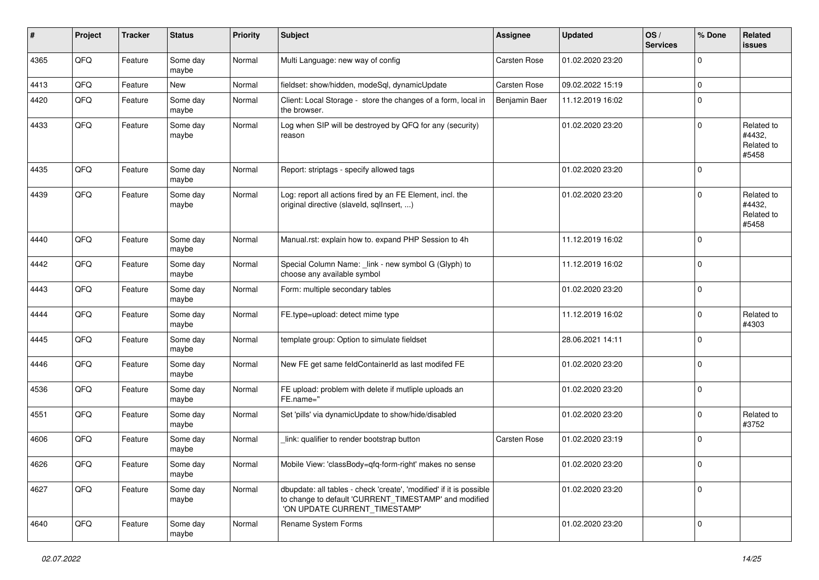| ∦    | Project | <b>Tracker</b> | <b>Status</b>     | <b>Priority</b> | <b>Subject</b>                                                                                                                                                | Assignee      | <b>Updated</b>   | OS/<br><b>Services</b> | % Done      | Related<br>issues                           |
|------|---------|----------------|-------------------|-----------------|---------------------------------------------------------------------------------------------------------------------------------------------------------------|---------------|------------------|------------------------|-------------|---------------------------------------------|
| 4365 | QFQ     | Feature        | Some day<br>maybe | Normal          | Multi Language: new way of config                                                                                                                             | Carsten Rose  | 01.02.2020 23:20 |                        | $\mathbf 0$ |                                             |
| 4413 | QFQ     | Feature        | New               | Normal          | fieldset: show/hidden, modeSql, dynamicUpdate                                                                                                                 | Carsten Rose  | 09.02.2022 15:19 |                        | $\mathbf 0$ |                                             |
| 4420 | QFQ     | Feature        | Some day<br>maybe | Normal          | Client: Local Storage - store the changes of a form, local in<br>the browser.                                                                                 | Benjamin Baer | 11.12.2019 16:02 |                        | $\mathbf 0$ |                                             |
| 4433 | QFQ     | Feature        | Some day<br>maybe | Normal          | Log when SIP will be destroyed by QFQ for any (security)<br>reason                                                                                            |               | 01.02.2020 23:20 |                        | $\mathbf 0$ | Related to<br>#4432,<br>Related to<br>#5458 |
| 4435 | QFQ     | Feature        | Some day<br>maybe | Normal          | Report: striptags - specify allowed tags                                                                                                                      |               | 01.02.2020 23:20 |                        | $\mathbf 0$ |                                             |
| 4439 | QFQ     | Feature        | Some day<br>maybe | Normal          | Log: report all actions fired by an FE Element, incl. the<br>original directive (slaveld, sqllnsert, )                                                        |               | 01.02.2020 23:20 |                        | $\mathbf 0$ | Related to<br>#4432,<br>Related to<br>#5458 |
| 4440 | QFQ     | Feature        | Some day<br>maybe | Normal          | Manual.rst: explain how to. expand PHP Session to 4h                                                                                                          |               | 11.12.2019 16:02 |                        | $\mathbf 0$ |                                             |
| 4442 | QFQ     | Feature        | Some day<br>maybe | Normal          | Special Column Name: _link - new symbol G (Glyph) to<br>choose any available symbol                                                                           |               | 11.12.2019 16:02 |                        | $\mathbf 0$ |                                             |
| 4443 | QFQ     | Feature        | Some day<br>maybe | Normal          | Form: multiple secondary tables                                                                                                                               |               | 01.02.2020 23:20 |                        | $\mathbf 0$ |                                             |
| 4444 | QFQ     | Feature        | Some day<br>maybe | Normal          | FE.type=upload: detect mime type                                                                                                                              |               | 11.12.2019 16:02 |                        | $\mathbf 0$ | Related to<br>#4303                         |
| 4445 | QFQ     | Feature        | Some day<br>maybe | Normal          | template group: Option to simulate fieldset                                                                                                                   |               | 28.06.2021 14:11 |                        | $\mathbf 0$ |                                             |
| 4446 | QFQ     | Feature        | Some day<br>maybe | Normal          | New FE get same feldContainerId as last modifed FE                                                                                                            |               | 01.02.2020 23:20 |                        | $\mathbf 0$ |                                             |
| 4536 | QFQ     | Feature        | Some day<br>maybe | Normal          | FE upload: problem with delete if mutliple uploads an<br>FE.name="                                                                                            |               | 01.02.2020 23:20 |                        | $\mathbf 0$ |                                             |
| 4551 | QFQ     | Feature        | Some day<br>maybe | Normal          | Set 'pills' via dynamicUpdate to show/hide/disabled                                                                                                           |               | 01.02.2020 23:20 |                        | $\mathbf 0$ | Related to<br>#3752                         |
| 4606 | QFQ     | Feature        | Some day<br>maybe | Normal          | link: qualifier to render bootstrap button                                                                                                                    | Carsten Rose  | 01.02.2020 23:19 |                        | $\mathbf 0$ |                                             |
| 4626 | QFQ     | Feature        | Some day<br>maybe | Normal          | Mobile View: 'classBody=qfq-form-right' makes no sense                                                                                                        |               | 01.02.2020 23:20 |                        | 0           |                                             |
| 4627 | QFQ     | Feature        | Some day<br>maybe | Normal          | dbupdate: all tables - check 'create', 'modified' if it is possible<br>to change to default 'CURRENT TIMESTAMP' and modified<br>'ON UPDATE CURRENT_TIMESTAMP' |               | 01.02.2020 23:20 |                        | $\mathbf 0$ |                                             |
| 4640 | QFQ     | Feature        | Some day<br>maybe | Normal          | Rename System Forms                                                                                                                                           |               | 01.02.2020 23:20 |                        | $\mathbf 0$ |                                             |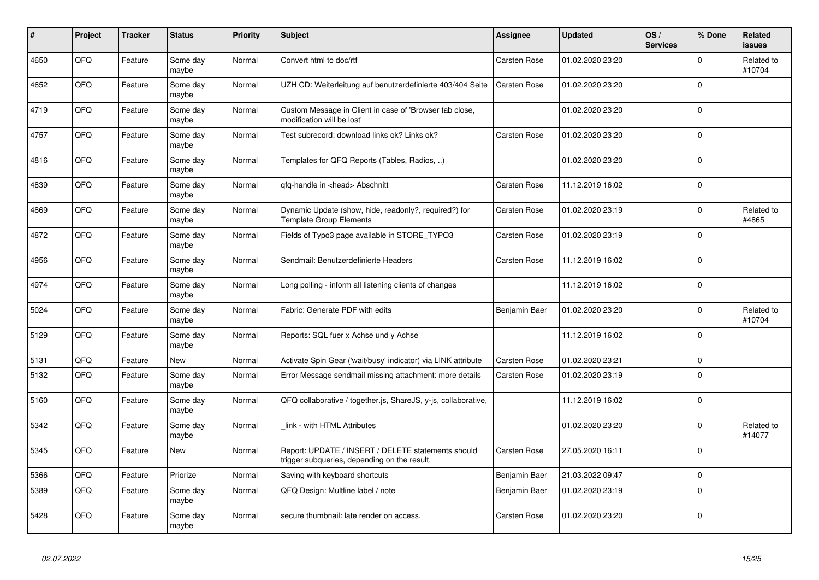| $\pmb{\sharp}$ | Project | <b>Tracker</b> | <b>Status</b>     | <b>Priority</b> | <b>Subject</b>                                                                                     | Assignee      | <b>Updated</b>   | OS/<br><b>Services</b> | % Done      | Related<br><b>issues</b> |
|----------------|---------|----------------|-------------------|-----------------|----------------------------------------------------------------------------------------------------|---------------|------------------|------------------------|-------------|--------------------------|
| 4650           | QFQ     | Feature        | Some day<br>maybe | Normal          | Convert html to doc/rtf                                                                            | Carsten Rose  | 01.02.2020 23:20 |                        | $\Omega$    | Related to<br>#10704     |
| 4652           | QFQ     | Feature        | Some day<br>maybe | Normal          | UZH CD: Weiterleitung auf benutzerdefinierte 403/404 Seite                                         | Carsten Rose  | 01.02.2020 23:20 |                        | $\Omega$    |                          |
| 4719           | QFQ     | Feature        | Some day<br>maybe | Normal          | Custom Message in Client in case of 'Browser tab close,<br>modification will be lost'              |               | 01.02.2020 23:20 |                        | $\mathbf 0$ |                          |
| 4757           | QFQ     | Feature        | Some day<br>maybe | Normal          | Test subrecord: download links ok? Links ok?                                                       | Carsten Rose  | 01.02.2020 23:20 |                        | $\Omega$    |                          |
| 4816           | QFQ     | Feature        | Some day<br>maybe | Normal          | Templates for QFQ Reports (Tables, Radios, )                                                       |               | 01.02.2020 23:20 |                        | $\Omega$    |                          |
| 4839           | QFQ     | Feature        | Some day<br>maybe | Normal          | qfq-handle in <head> Abschnitt</head>                                                              | Carsten Rose  | 11.12.2019 16:02 |                        | l o         |                          |
| 4869           | QFQ     | Feature        | Some day<br>maybe | Normal          | Dynamic Update (show, hide, readonly?, required?) for<br><b>Template Group Elements</b>            | Carsten Rose  | 01.02.2020 23:19 |                        | $\Omega$    | Related to<br>#4865      |
| 4872           | QFQ     | Feature        | Some day<br>maybe | Normal          | Fields of Typo3 page available in STORE_TYPO3                                                      | Carsten Rose  | 01.02.2020 23:19 |                        | $\Omega$    |                          |
| 4956           | QFQ     | Feature        | Some day<br>maybe | Normal          | Sendmail: Benutzerdefinierte Headers                                                               | Carsten Rose  | 11.12.2019 16:02 |                        | $\mathbf 0$ |                          |
| 4974           | QFQ     | Feature        | Some day<br>maybe | Normal          | Long polling - inform all listening clients of changes                                             |               | 11.12.2019 16:02 |                        | $\Omega$    |                          |
| 5024           | QFQ     | Feature        | Some day<br>maybe | Normal          | Fabric: Generate PDF with edits                                                                    | Benjamin Baer | 01.02.2020 23:20 |                        | $\Omega$    | Related to<br>#10704     |
| 5129           | QFQ     | Feature        | Some day<br>maybe | Normal          | Reports: SQL fuer x Achse und y Achse                                                              |               | 11.12.2019 16:02 |                        | $\mathbf 0$ |                          |
| 5131           | QFQ     | Feature        | New               | Normal          | Activate Spin Gear ('wait/busy' indicator) via LINK attribute                                      | Carsten Rose  | 01.02.2020 23:21 |                        | $\mathbf 0$ |                          |
| 5132           | QFQ     | Feature        | Some day<br>maybe | Normal          | Error Message sendmail missing attachment: more details                                            | Carsten Rose  | 01.02.2020 23:19 |                        | $\mathbf 0$ |                          |
| 5160           | QFQ     | Feature        | Some day<br>maybe | Normal          | QFQ collaborative / together.js, ShareJS, y-js, collaborative,                                     |               | 11.12.2019 16:02 |                        | $\Omega$    |                          |
| 5342           | QFQ     | Feature        | Some day<br>maybe | Normal          | link - with HTML Attributes                                                                        |               | 01.02.2020 23:20 |                        | $\Omega$    | Related to<br>#14077     |
| 5345           | QFQ     | Feature        | New               | Normal          | Report: UPDATE / INSERT / DELETE statements should<br>trigger subqueries, depending on the result. | Carsten Rose  | 27.05.2020 16:11 |                        | $\Omega$    |                          |
| 5366           | QFQ     | Feature        | Priorize          | Normal          | Saving with keyboard shortcuts                                                                     | Benjamin Baer | 21.03.2022 09:47 |                        | $\mathbf 0$ |                          |
| 5389           | QFQ     | Feature        | Some day<br>maybe | Normal          | QFQ Design: Multline label / note                                                                  | Benjamin Baer | 01.02.2020 23:19 |                        | $\mathbf 0$ |                          |
| 5428           | QFQ     | Feature        | Some day<br>maybe | Normal          | secure thumbnail: late render on access.                                                           | Carsten Rose  | 01.02.2020 23:20 |                        | $\Omega$    |                          |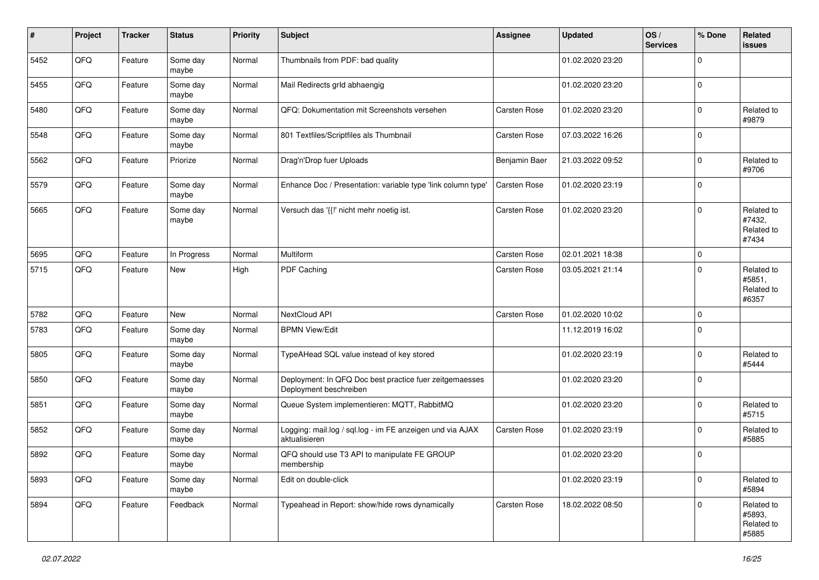| #    | Project | <b>Tracker</b> | <b>Status</b>     | <b>Priority</b> | <b>Subject</b>                                                                    | <b>Assignee</b> | <b>Updated</b>   | OS/<br><b>Services</b> | % Done      | Related<br><b>issues</b>                    |
|------|---------|----------------|-------------------|-----------------|-----------------------------------------------------------------------------------|-----------------|------------------|------------------------|-------------|---------------------------------------------|
| 5452 | QFQ     | Feature        | Some day<br>maybe | Normal          | Thumbnails from PDF: bad quality                                                  |                 | 01.02.2020 23:20 |                        | $\mathbf 0$ |                                             |
| 5455 | QFQ     | Feature        | Some day<br>maybe | Normal          | Mail Redirects grld abhaengig                                                     |                 | 01.02.2020 23:20 |                        | $\mathbf 0$ |                                             |
| 5480 | QFQ     | Feature        | Some day<br>maybe | Normal          | QFQ: Dokumentation mit Screenshots versehen                                       | Carsten Rose    | 01.02.2020 23:20 |                        | $\mathbf 0$ | Related to<br>#9879                         |
| 5548 | QFQ     | Feature        | Some day<br>maybe | Normal          | 801 Textfiles/Scriptfiles als Thumbnail                                           | Carsten Rose    | 07.03.2022 16:26 |                        | $\mathbf 0$ |                                             |
| 5562 | QFQ     | Feature        | Priorize          | Normal          | Drag'n'Drop fuer Uploads                                                          | Benjamin Baer   | 21.03.2022 09:52 |                        | $\mathbf 0$ | Related to<br>#9706                         |
| 5579 | QFQ     | Feature        | Some day<br>maybe | Normal          | Enhance Doc / Presentation: variable type 'link column type'                      | Carsten Rose    | 01.02.2020 23:19 |                        | $\mathbf 0$ |                                             |
| 5665 | QFQ     | Feature        | Some day<br>maybe | Normal          | Versuch das '{{!' nicht mehr noetig ist.                                          | Carsten Rose    | 01.02.2020 23:20 |                        | $\mathbf 0$ | Related to<br>#7432,<br>Related to<br>#7434 |
| 5695 | QFQ     | Feature        | In Progress       | Normal          | Multiform                                                                         | Carsten Rose    | 02.01.2021 18:38 |                        | $\mathbf 0$ |                                             |
| 5715 | QFQ     | Feature        | New               | High            | PDF Caching                                                                       | Carsten Rose    | 03.05.2021 21:14 |                        | $\mathbf 0$ | Related to<br>#5851,<br>Related to<br>#6357 |
| 5782 | QFQ     | Feature        | New               | Normal          | NextCloud API                                                                     | Carsten Rose    | 01.02.2020 10:02 |                        | $\mathbf 0$ |                                             |
| 5783 | QFQ     | Feature        | Some day<br>maybe | Normal          | <b>BPMN View/Edit</b>                                                             |                 | 11.12.2019 16:02 |                        | $\mathbf 0$ |                                             |
| 5805 | QFQ     | Feature        | Some day<br>maybe | Normal          | TypeAHead SQL value instead of key stored                                         |                 | 01.02.2020 23:19 |                        | $\mathbf 0$ | Related to<br>#5444                         |
| 5850 | QFQ     | Feature        | Some day<br>maybe | Normal          | Deployment: In QFQ Doc best practice fuer zeitgemaesses<br>Deployment beschreiben |                 | 01.02.2020 23:20 |                        | $\mathbf 0$ |                                             |
| 5851 | QFQ     | Feature        | Some day<br>maybe | Normal          | Queue System implementieren: MQTT, RabbitMQ                                       |                 | 01.02.2020 23:20 |                        | $\mathbf 0$ | Related to<br>#5715                         |
| 5852 | QFQ     | Feature        | Some day<br>maybe | Normal          | Logging: mail.log / sql.log - im FE anzeigen und via AJAX<br>aktualisieren        | Carsten Rose    | 01.02.2020 23:19 |                        | $\mathbf 0$ | Related to<br>#5885                         |
| 5892 | QFQ     | Feature        | Some day<br>maybe | Normal          | QFQ should use T3 API to manipulate FE GROUP<br>membership                        |                 | 01.02.2020 23:20 |                        | $\mathbf 0$ |                                             |
| 5893 | QFQ     | Feature        | Some day<br>maybe | Normal          | Edit on double-click                                                              |                 | 01.02.2020 23:19 |                        | $\mathbf 0$ | Related to<br>#5894                         |
| 5894 | QFO     | Feature        | Feedback          | Normal          | Typeahead in Report: show/hide rows dynamically                                   | Carsten Rose    | 18.02.2022 08:50 |                        | $\mathsf 0$ | Related to<br>#5893,<br>Related to<br>#5885 |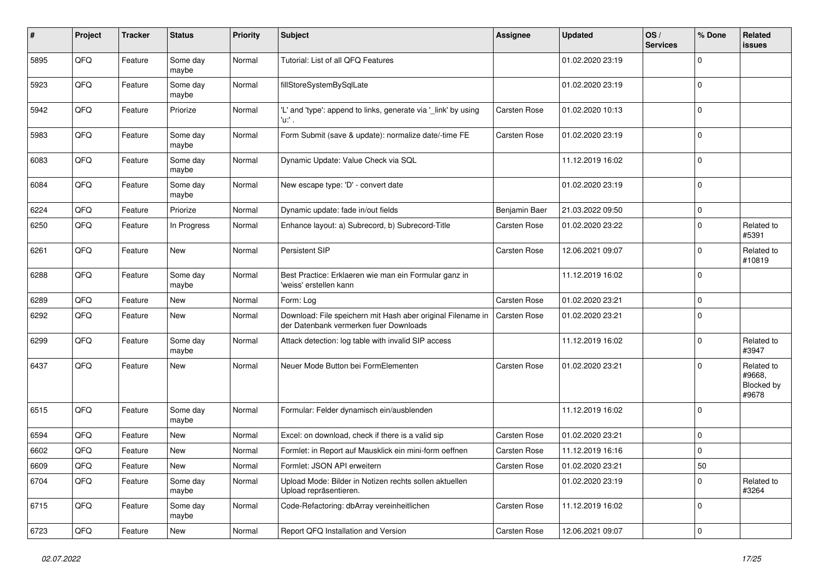| $\sharp$ | Project | <b>Tracker</b> | <b>Status</b>     | <b>Priority</b> | <b>Subject</b>                                                                                        | <b>Assignee</b>     | <b>Updated</b>   | OS/<br><b>Services</b> | % Done      | Related<br><b>issues</b>                    |
|----------|---------|----------------|-------------------|-----------------|-------------------------------------------------------------------------------------------------------|---------------------|------------------|------------------------|-------------|---------------------------------------------|
| 5895     | QFQ     | Feature        | Some day<br>maybe | Normal          | Tutorial: List of all QFQ Features                                                                    |                     | 01.02.2020 23:19 |                        | $\Omega$    |                                             |
| 5923     | QFQ     | Feature        | Some day<br>maybe | Normal          | fillStoreSystemBySqlLate                                                                              |                     | 01.02.2020 23:19 |                        | $\mathbf 0$ |                                             |
| 5942     | QFQ     | Feature        | Priorize          | Normal          | 'L' and 'type': append to links, generate via '_link' by using<br>'u:' .                              | Carsten Rose        | 01.02.2020 10:13 |                        | $\Omega$    |                                             |
| 5983     | QFQ     | Feature        | Some day<br>maybe | Normal          | Form Submit (save & update): normalize date/-time FE                                                  | <b>Carsten Rose</b> | 01.02.2020 23:19 |                        | $\mathbf 0$ |                                             |
| 6083     | QFQ     | Feature        | Some day<br>maybe | Normal          | Dynamic Update: Value Check via SQL                                                                   |                     | 11.12.2019 16:02 |                        | $\mathbf 0$ |                                             |
| 6084     | QFQ     | Feature        | Some day<br>maybe | Normal          | New escape type: 'D' - convert date                                                                   |                     | 01.02.2020 23:19 |                        | $\Omega$    |                                             |
| 6224     | QFQ     | Feature        | Priorize          | Normal          | Dynamic update: fade in/out fields                                                                    | Benjamin Baer       | 21.03.2022 09:50 |                        | $\mathbf 0$ |                                             |
| 6250     | QFQ     | Feature        | In Progress       | Normal          | Enhance layout: a) Subrecord, b) Subrecord-Title                                                      | Carsten Rose        | 01.02.2020 23:22 |                        | $\mathbf 0$ | Related to<br>#5391                         |
| 6261     | QFQ     | Feature        | New               | Normal          | Persistent SIP                                                                                        | Carsten Rose        | 12.06.2021 09:07 |                        | $\Omega$    | Related to<br>#10819                        |
| 6288     | QFQ     | Feature        | Some day<br>maybe | Normal          | Best Practice: Erklaeren wie man ein Formular ganz in<br>'weiss' erstellen kann                       |                     | 11.12.2019 16:02 |                        | $\Omega$    |                                             |
| 6289     | QFQ     | Feature        | <b>New</b>        | Normal          | Form: Log                                                                                             | Carsten Rose        | 01.02.2020 23:21 |                        | $\mathbf 0$ |                                             |
| 6292     | QFQ     | Feature        | New               | Normal          | Download: File speichern mit Hash aber original Filename in<br>der Datenbank vermerken fuer Downloads | Carsten Rose        | 01.02.2020 23:21 |                        | $\Omega$    |                                             |
| 6299     | QFQ     | Feature        | Some day<br>maybe | Normal          | Attack detection: log table with invalid SIP access                                                   |                     | 11.12.2019 16:02 |                        | $\mathbf 0$ | Related to<br>#3947                         |
| 6437     | QFQ     | Feature        | New               | Normal          | Neuer Mode Button bei FormElementen                                                                   | Carsten Rose        | 01.02.2020 23:21 |                        | 0           | Related to<br>#9668,<br>Blocked by<br>#9678 |
| 6515     | QFQ     | Feature        | Some day<br>maybe | Normal          | Formular: Felder dynamisch ein/ausblenden                                                             |                     | 11.12.2019 16:02 |                        | $\Omega$    |                                             |
| 6594     | QFQ     | Feature        | New               | Normal          | Excel: on download, check if there is a valid sip                                                     | Carsten Rose        | 01.02.2020 23:21 |                        | $\Omega$    |                                             |
| 6602     | QFQ     | Feature        | New               | Normal          | Formlet: in Report auf Mausklick ein mini-form oeffnen                                                | Carsten Rose        | 11.12.2019 16:16 |                        | 0           |                                             |
| 6609     | QFQ     | Feature        | New               | Normal          | Formlet: JSON API erweitern                                                                           | Carsten Rose        | 01.02.2020 23:21 |                        | 50          |                                             |
| 6704     | QFQ     | Feature        | Some day<br>maybe | Normal          | Upload Mode: Bilder in Notizen rechts sollen aktuellen<br>Upload repräsentieren.                      |                     | 01.02.2020 23:19 |                        | $\mathbf 0$ | Related to<br>#3264                         |
| 6715     | QFQ     | Feature        | Some day<br>maybe | Normal          | Code-Refactoring: dbArray vereinheitlichen                                                            | Carsten Rose        | 11.12.2019 16:02 |                        | 0           |                                             |
| 6723     | QFQ     | Feature        | New               | Normal          | Report QFQ Installation and Version                                                                   | Carsten Rose        | 12.06.2021 09:07 |                        | $\mathbf 0$ |                                             |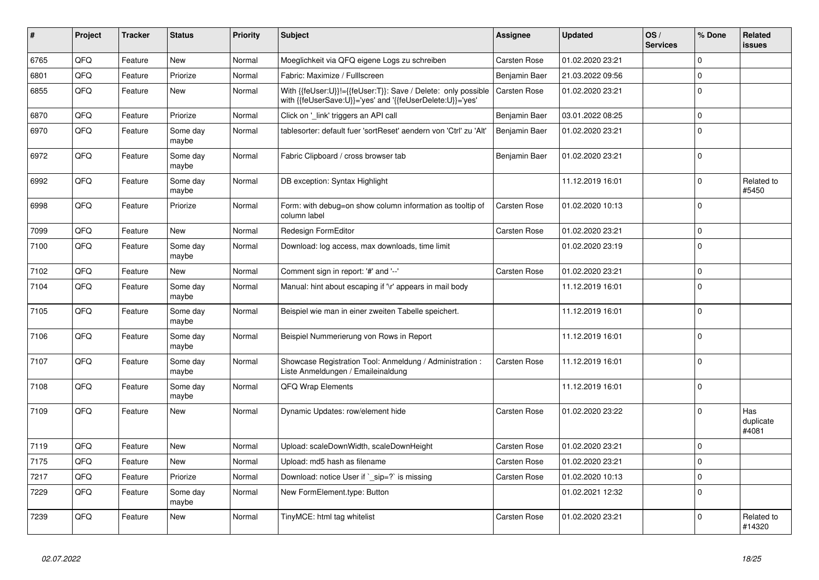| #    | Project | <b>Tracker</b> | <b>Status</b>     | <b>Priority</b> | <b>Subject</b>                                                                                                             | Assignee            | <b>Updated</b>   | OS/<br><b>Services</b> | % Done      | Related<br><b>issues</b>  |
|------|---------|----------------|-------------------|-----------------|----------------------------------------------------------------------------------------------------------------------------|---------------------|------------------|------------------------|-------------|---------------------------|
| 6765 | QFQ     | Feature        | New               | Normal          | Moeglichkeit via QFQ eigene Logs zu schreiben                                                                              | Carsten Rose        | 01.02.2020 23:21 |                        | $\Omega$    |                           |
| 6801 | QFQ     | Feature        | Priorize          | Normal          | Fabric: Maximize / FullIscreen                                                                                             | Benjamin Baer       | 21.03.2022 09:56 |                        | $\Omega$    |                           |
| 6855 | QFQ     | Feature        | New               | Normal          | With {{feUser:U}}!={{feUser:T}}: Save / Delete: only possible<br>with {{feUserSave:U}}='yes' and '{{feUserDelete:U}}='yes' | <b>Carsten Rose</b> | 01.02.2020 23:21 |                        | $\Omega$    |                           |
| 6870 | QFQ     | Feature        | Priorize          | Normal          | Click on 'link' triggers an API call                                                                                       | Benjamin Baer       | 03.01.2022 08:25 |                        | $\Omega$    |                           |
| 6970 | QFQ     | Feature        | Some day<br>maybe | Normal          | tablesorter: default fuer 'sortReset' aendern von 'Ctrl' zu 'Alt'                                                          | Benjamin Baer       | 01.02.2020 23:21 |                        | $\Omega$    |                           |
| 6972 | QFQ     | Feature        | Some day<br>maybe | Normal          | Fabric Clipboard / cross browser tab                                                                                       | Benjamin Baer       | 01.02.2020 23:21 |                        | $\Omega$    |                           |
| 6992 | QFQ     | Feature        | Some day<br>maybe | Normal          | DB exception: Syntax Highlight                                                                                             |                     | 11.12.2019 16:01 |                        | $\Omega$    | Related to<br>#5450       |
| 6998 | QFQ     | Feature        | Priorize          | Normal          | Form: with debug=on show column information as tooltip of<br>column label                                                  | Carsten Rose        | 01.02.2020 10:13 |                        | $\Omega$    |                           |
| 7099 | QFQ     | Feature        | <b>New</b>        | Normal          | Redesign FormEditor                                                                                                        | Carsten Rose        | 01.02.2020 23:21 |                        | 0           |                           |
| 7100 | QFQ     | Feature        | Some day<br>maybe | Normal          | Download: log access, max downloads, time limit                                                                            |                     | 01.02.2020 23:19 |                        | $\Omega$    |                           |
| 7102 | QFQ     | Feature        | New               | Normal          | Comment sign in report: '#' and '--'                                                                                       | Carsten Rose        | 01.02.2020 23:21 |                        | $\Omega$    |                           |
| 7104 | QFQ     | Feature        | Some day<br>maybe | Normal          | Manual: hint about escaping if '\r' appears in mail body                                                                   |                     | 11.12.2019 16:01 |                        | $\Omega$    |                           |
| 7105 | QFQ     | Feature        | Some day<br>maybe | Normal          | Beispiel wie man in einer zweiten Tabelle speichert.                                                                       |                     | 11.12.2019 16:01 |                        | $\Omega$    |                           |
| 7106 | QFQ     | Feature        | Some day<br>maybe | Normal          | Beispiel Nummerierung von Rows in Report                                                                                   |                     | 11.12.2019 16:01 |                        | $\Omega$    |                           |
| 7107 | QFQ     | Feature        | Some day<br>maybe | Normal          | Showcase Registration Tool: Anmeldung / Administration :<br>Liste Anmeldungen / Emaileinaldung                             | Carsten Rose        | 11.12.2019 16:01 |                        | $\mathbf 0$ |                           |
| 7108 | QFQ     | Feature        | Some dav<br>maybe | Normal          | <b>QFQ Wrap Elements</b>                                                                                                   |                     | 11.12.2019 16:01 |                        | $\Omega$    |                           |
| 7109 | QFQ     | Feature        | New               | Normal          | Dynamic Updates: row/element hide                                                                                          | Carsten Rose        | 01.02.2020 23:22 |                        | $\Omega$    | Has<br>duplicate<br>#4081 |
| 7119 | QFQ     | Feature        | New               | Normal          | Upload: scaleDownWidth, scaleDownHeight                                                                                    | Carsten Rose        | 01.02.2020 23:21 |                        | $\mathbf 0$ |                           |
| 7175 | QFQ     | Feature        | New               | Normal          | Upload: md5 hash as filename                                                                                               | Carsten Rose        | 01.02.2020 23:21 |                        | $\Omega$    |                           |
| 7217 | QFQ     | Feature        | Priorize          | Normal          | Download: notice User if ` sip=?` is missing                                                                               | <b>Carsten Rose</b> | 01.02.2020 10:13 |                        | $\Omega$    |                           |
| 7229 | QFQ     | Feature        | Some day<br>maybe | Normal          | New FormElement.type: Button                                                                                               |                     | 01.02.2021 12:32 |                        | $\Omega$    |                           |
| 7239 | QFQ     | Feature        | New               | Normal          | TinyMCE: html tag whitelist                                                                                                | Carsten Rose        | 01.02.2020 23:21 |                        | $\Omega$    | Related to<br>#14320      |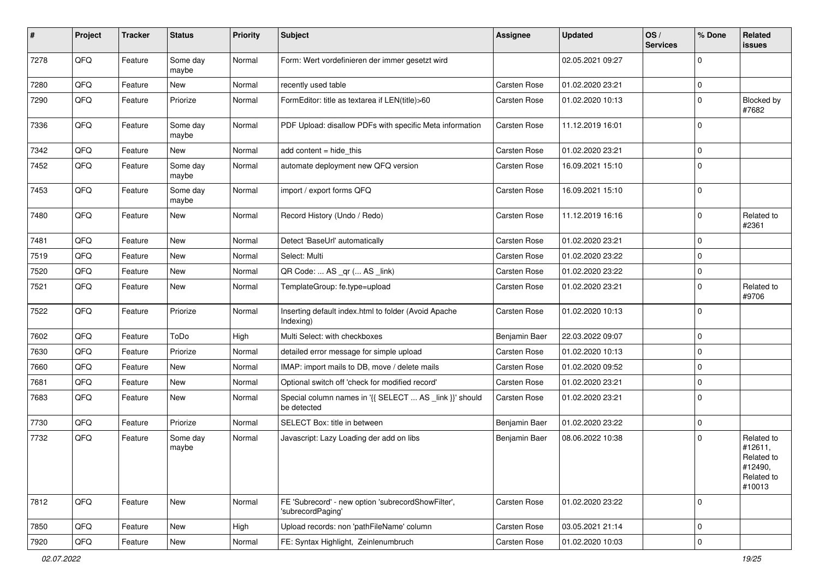| $\sharp$ | Project | <b>Tracker</b> | <b>Status</b>     | <b>Priority</b> | <b>Subject</b>                                                          | <b>Assignee</b> | <b>Updated</b>   | OS/<br><b>Services</b> | % Done      | Related<br>issues                                                      |
|----------|---------|----------------|-------------------|-----------------|-------------------------------------------------------------------------|-----------------|------------------|------------------------|-------------|------------------------------------------------------------------------|
| 7278     | QFQ     | Feature        | Some day<br>maybe | Normal          | Form: Wert vordefinieren der immer gesetzt wird                         |                 | 02.05.2021 09:27 |                        | $\Omega$    |                                                                        |
| 7280     | QFQ     | Feature        | New               | Normal          | recently used table                                                     | Carsten Rose    | 01.02.2020 23:21 |                        | $\mathbf 0$ |                                                                        |
| 7290     | QFQ     | Feature        | Priorize          | Normal          | FormEditor: title as textarea if LEN(title)>60                          | Carsten Rose    | 01.02.2020 10:13 |                        | $\Omega$    | Blocked by<br>#7682                                                    |
| 7336     | QFQ     | Feature        | Some day<br>maybe | Normal          | PDF Upload: disallow PDFs with specific Meta information                | Carsten Rose    | 11.12.2019 16:01 |                        | $\Omega$    |                                                                        |
| 7342     | QFQ     | Feature        | New               | Normal          | add content = hide_this                                                 | Carsten Rose    | 01.02.2020 23:21 |                        | $\Omega$    |                                                                        |
| 7452     | QFQ     | Feature        | Some day<br>maybe | Normal          | automate deployment new QFQ version                                     | Carsten Rose    | 16.09.2021 15:10 |                        | $\mathbf 0$ |                                                                        |
| 7453     | QFQ     | Feature        | Some day<br>maybe | Normal          | import / export forms QFQ                                               | Carsten Rose    | 16.09.2021 15:10 |                        | $\Omega$    |                                                                        |
| 7480     | QFQ     | Feature        | New               | Normal          | Record History (Undo / Redo)                                            | Carsten Rose    | 11.12.2019 16:16 |                        | $\mathbf 0$ | Related to<br>#2361                                                    |
| 7481     | QFQ     | Feature        | <b>New</b>        | Normal          | Detect 'BaseUrl' automatically                                          | Carsten Rose    | 01.02.2020 23:21 |                        | $\Omega$    |                                                                        |
| 7519     | QFQ     | Feature        | New               | Normal          | Select: Multi                                                           | Carsten Rose    | 01.02.2020 23:22 |                        | $\Omega$    |                                                                        |
| 7520     | QFQ     | Feature        | New               | Normal          | QR Code:  AS _qr ( AS _link)                                            | Carsten Rose    | 01.02.2020 23:22 |                        | $\mathbf 0$ |                                                                        |
| 7521     | QFQ     | Feature        | New               | Normal          | TemplateGroup: fe.type=upload                                           | Carsten Rose    | 01.02.2020 23:21 |                        | $\mathbf 0$ | Related to<br>#9706                                                    |
| 7522     | QFQ     | Feature        | Priorize          | Normal          | Inserting default index.html to folder (Avoid Apache<br>Indexing)       | Carsten Rose    | 01.02.2020 10:13 |                        | $\Omega$    |                                                                        |
| 7602     | QFQ     | Feature        | ToDo              | High            | Multi Select: with checkboxes                                           | Benjamin Baer   | 22.03.2022 09:07 |                        | $\mathbf 0$ |                                                                        |
| 7630     | QFQ     | Feature        | Priorize          | Normal          | detailed error message for simple upload                                | Carsten Rose    | 01.02.2020 10:13 |                        | $\mathbf 0$ |                                                                        |
| 7660     | QFQ     | Feature        | New               | Normal          | IMAP: import mails to DB, move / delete mails                           | Carsten Rose    | 01.02.2020 09:52 |                        | 0           |                                                                        |
| 7681     | QFQ     | Feature        | New               | Normal          | Optional switch off 'check for modified record'                         | Carsten Rose    | 01.02.2020 23:21 |                        | $\mathbf 0$ |                                                                        |
| 7683     | QFQ     | Feature        | New               | Normal          | Special column names in '{{ SELECT  AS _link }}' should<br>be detected  | Carsten Rose    | 01.02.2020 23:21 |                        | $\mathbf 0$ |                                                                        |
| 7730     | QFQ     | Feature        | Priorize          | Normal          | SELECT Box: title in between                                            | Benjamin Baer   | 01.02.2020 23:22 |                        | $\mathbf 0$ |                                                                        |
| 7732     | QFQ     | Feature        | Some day<br>maybe | Normal          | Javascript: Lazy Loading der add on libs                                | Benjamin Baer   | 08.06.2022 10:38 |                        | $\Omega$    | Related to<br>#12611,<br>Related to<br>#12490,<br>Related to<br>#10013 |
| 7812     | QFQ     | Feature        | New               | Normal          | FE 'Subrecord' - new option 'subrecordShowFilter',<br>'subrecordPaging' | Carsten Rose    | 01.02.2020 23:22 |                        | $\mathbf 0$ |                                                                        |
| 7850     | QFQ     | Feature        | New               | High            | Upload records: non 'pathFileName' column                               | Carsten Rose    | 03.05.2021 21:14 |                        | $\mathbf 0$ |                                                                        |
| 7920     | QFQ     | Feature        | New               | Normal          | FE: Syntax Highlight, Zeinlenumbruch                                    | Carsten Rose    | 01.02.2020 10:03 |                        | 0           |                                                                        |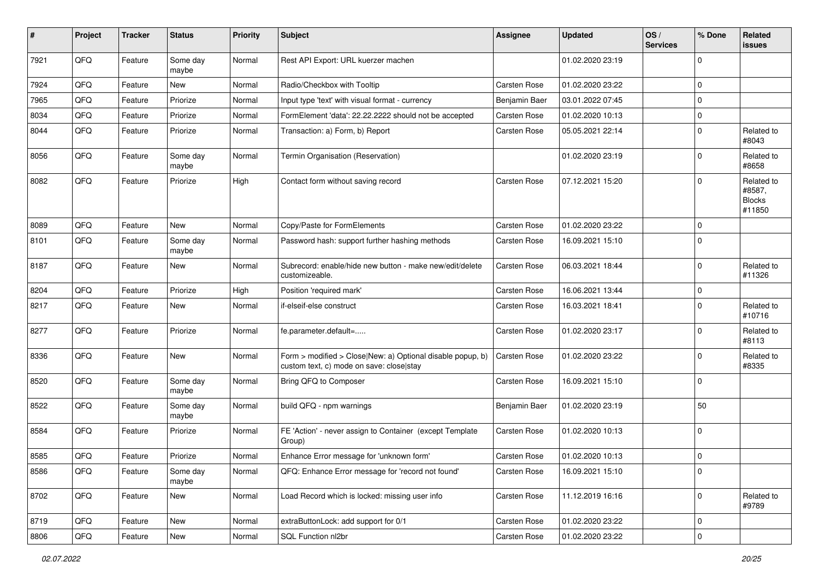| $\sharp$ | Project        | <b>Tracker</b> | <b>Status</b>     | <b>Priority</b> | <b>Subject</b>                                                                                         | <b>Assignee</b> | <b>Updated</b>   | OS/<br><b>Services</b> | % Done      | Related<br><b>issues</b>                        |
|----------|----------------|----------------|-------------------|-----------------|--------------------------------------------------------------------------------------------------------|-----------------|------------------|------------------------|-------------|-------------------------------------------------|
| 7921     | QFQ            | Feature        | Some day<br>maybe | Normal          | Rest API Export: URL kuerzer machen                                                                    |                 | 01.02.2020 23:19 |                        | $\mathbf 0$ |                                                 |
| 7924     | QFQ            | Feature        | New               | Normal          | Radio/Checkbox with Tooltip                                                                            | Carsten Rose    | 01.02.2020 23:22 |                        | $\mathbf 0$ |                                                 |
| 7965     | QFQ            | Feature        | Priorize          | Normal          | Input type 'text' with visual format - currency                                                        | Benjamin Baer   | 03.01.2022 07:45 |                        | $\mathbf 0$ |                                                 |
| 8034     | QFQ            | Feature        | Priorize          | Normal          | FormElement 'data': 22.22.2222 should not be accepted                                                  | Carsten Rose    | 01.02.2020 10:13 |                        | $\mathbf 0$ |                                                 |
| 8044     | QFQ            | Feature        | Priorize          | Normal          | Transaction: a) Form, b) Report                                                                        | Carsten Rose    | 05.05.2021 22:14 |                        | $\mathbf 0$ | Related to<br>#8043                             |
| 8056     | QFQ            | Feature        | Some day<br>maybe | Normal          | Termin Organisation (Reservation)                                                                      |                 | 01.02.2020 23:19 |                        | $\mathbf 0$ | Related to<br>#8658                             |
| 8082     | QFQ            | Feature        | Priorize          | High            | Contact form without saving record                                                                     | Carsten Rose    | 07.12.2021 15:20 |                        | $\mathbf 0$ | Related to<br>#8587,<br><b>Blocks</b><br>#11850 |
| 8089     | QFQ            | Feature        | New               | Normal          | Copy/Paste for FormElements                                                                            | Carsten Rose    | 01.02.2020 23:22 |                        | $\mathbf 0$ |                                                 |
| 8101     | QFQ            | Feature        | Some day<br>maybe | Normal          | Password hash: support further hashing methods                                                         | Carsten Rose    | 16.09.2021 15:10 |                        | $\mathbf 0$ |                                                 |
| 8187     | QFQ            | Feature        | New               | Normal          | Subrecord: enable/hide new button - make new/edit/delete<br>customizeable.                             | Carsten Rose    | 06.03.2021 18:44 |                        | $\mathbf 0$ | Related to<br>#11326                            |
| 8204     | QFQ            | Feature        | Priorize          | High            | Position 'required mark'                                                                               | Carsten Rose    | 16.06.2021 13:44 |                        | $\mathbf 0$ |                                                 |
| 8217     | QFQ            | Feature        | New               | Normal          | if-elseif-else construct                                                                               | Carsten Rose    | 16.03.2021 18:41 |                        | $\mathbf 0$ | Related to<br>#10716                            |
| 8277     | QFQ            | Feature        | Priorize          | Normal          | fe.parameter.default=                                                                                  | Carsten Rose    | 01.02.2020 23:17 |                        | $\mathbf 0$ | Related to<br>#8113                             |
| 8336     | QFQ            | Feature        | New               | Normal          | Form > modified > Close New: a) Optional disable popup, b)<br>custom text, c) mode on save: close stay | Carsten Rose    | 01.02.2020 23:22 |                        | $\mathbf 0$ | Related to<br>#8335                             |
| 8520     | QFQ            | Feature        | Some day<br>maybe | Normal          | Bring QFQ to Composer                                                                                  | Carsten Rose    | 16.09.2021 15:10 |                        | $\mathbf 0$ |                                                 |
| 8522     | QFQ            | Feature        | Some day<br>maybe | Normal          | build QFQ - npm warnings                                                                               | Benjamin Baer   | 01.02.2020 23:19 |                        | 50          |                                                 |
| 8584     | QFQ            | Feature        | Priorize          | Normal          | FE 'Action' - never assign to Container (except Template<br>Group)                                     | Carsten Rose    | 01.02.2020 10:13 |                        | $\mathbf 0$ |                                                 |
| 8585     | QFQ            | Feature        | Priorize          | Normal          | Enhance Error message for 'unknown form'                                                               | Carsten Rose    | 01.02.2020 10:13 |                        | $\mathbf 0$ |                                                 |
| 8586     | QFG            | Feature        | Some day<br>maybe | Normal          | QFQ: Enhance Error message for 'record not found'                                                      | Carsten Rose    | 16.09.2021 15:10 |                        | $\pmb{0}$   |                                                 |
| 8702     | QFG            | Feature        | New               | Normal          | Load Record which is locked: missing user info                                                         | Carsten Rose    | 11.12.2019 16:16 |                        | $\mathbf 0$ | Related to<br>#9789                             |
| 8719     | QFO            | Feature        | New               | Normal          | extraButtonLock: add support for 0/1                                                                   | Carsten Rose    | 01.02.2020 23:22 |                        | 0           |                                                 |
| 8806     | $\mathsf{QFQ}$ | Feature        | New               | Normal          | SQL Function nl2br                                                                                     | Carsten Rose    | 01.02.2020 23:22 |                        | $\mathbf 0$ |                                                 |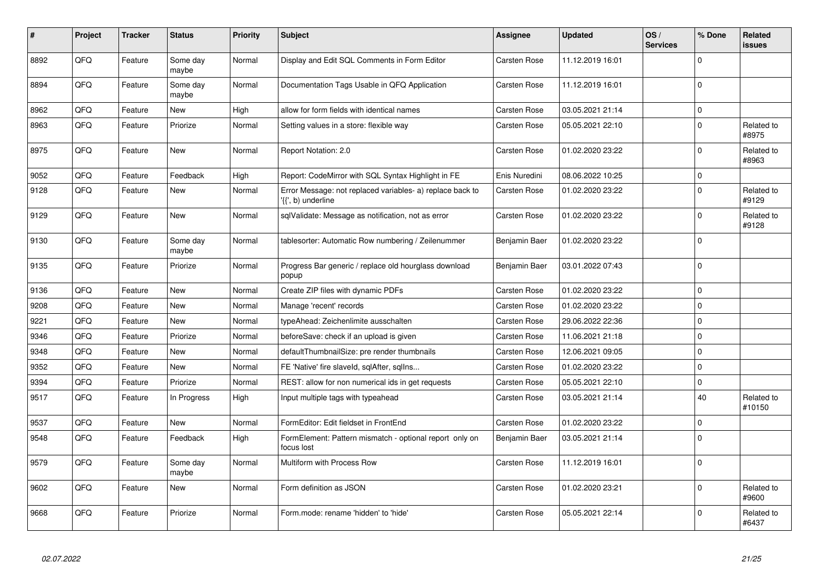| #    | Project | <b>Tracker</b> | <b>Status</b>     | <b>Priority</b> | <b>Subject</b>                                                                  | Assignee      | <b>Updated</b>   | OS/<br><b>Services</b> | % Done      | Related<br><b>issues</b> |
|------|---------|----------------|-------------------|-----------------|---------------------------------------------------------------------------------|---------------|------------------|------------------------|-------------|--------------------------|
| 8892 | QFQ     | Feature        | Some day<br>maybe | Normal          | Display and Edit SQL Comments in Form Editor                                    | Carsten Rose  | 11.12.2019 16:01 |                        | $\mathbf 0$ |                          |
| 8894 | QFQ     | Feature        | Some day<br>maybe | Normal          | Documentation Tags Usable in QFQ Application                                    | Carsten Rose  | 11.12.2019 16:01 |                        | $\mathbf 0$ |                          |
| 8962 | QFQ     | Feature        | New               | High            | allow for form fields with identical names                                      | Carsten Rose  | 03.05.2021 21:14 |                        | $\mathsf 0$ |                          |
| 8963 | QFQ     | Feature        | Priorize          | Normal          | Setting values in a store: flexible way                                         | Carsten Rose  | 05.05.2021 22:10 |                        | $\mathbf 0$ | Related to<br>#8975      |
| 8975 | QFQ     | Feature        | <b>New</b>        | Normal          | Report Notation: 2.0                                                            | Carsten Rose  | 01.02.2020 23:22 |                        | $\mathbf 0$ | Related to<br>#8963      |
| 9052 | QFQ     | Feature        | Feedback          | High            | Report: CodeMirror with SQL Syntax Highlight in FE                              | Enis Nuredini | 08.06.2022 10:25 |                        | $\mathsf 0$ |                          |
| 9128 | QFQ     | Feature        | <b>New</b>        | Normal          | Error Message: not replaced variables- a) replace back to<br>'{{', b) underline | Carsten Rose  | 01.02.2020 23:22 |                        | $\mathbf 0$ | Related to<br>#9129      |
| 9129 | QFQ     | Feature        | <b>New</b>        | Normal          | sqlValidate: Message as notification, not as error                              | Carsten Rose  | 01.02.2020 23:22 |                        | $\mathbf 0$ | Related to<br>#9128      |
| 9130 | QFQ     | Feature        | Some day<br>maybe | Normal          | tablesorter: Automatic Row numbering / Zeilenummer                              | Benjamin Baer | 01.02.2020 23:22 |                        | $\mathbf 0$ |                          |
| 9135 | QFQ     | Feature        | Priorize          | Normal          | Progress Bar generic / replace old hourglass download<br>popup                  | Benjamin Baer | 03.01.2022 07:43 |                        | $\mathbf 0$ |                          |
| 9136 | QFQ     | Feature        | New               | Normal          | Create ZIP files with dynamic PDFs                                              | Carsten Rose  | 01.02.2020 23:22 |                        | $\mathbf 0$ |                          |
| 9208 | QFQ     | Feature        | New               | Normal          | Manage 'recent' records                                                         | Carsten Rose  | 01.02.2020 23:22 |                        | $\mathsf 0$ |                          |
| 9221 | QFQ     | Feature        | New               | Normal          | typeAhead: Zeichenlimite ausschalten                                            | Carsten Rose  | 29.06.2022 22:36 |                        | $\mathbf 0$ |                          |
| 9346 | QFQ     | Feature        | Priorize          | Normal          | beforeSave: check if an upload is given                                         | Carsten Rose  | 11.06.2021 21:18 |                        | $\mathbf 0$ |                          |
| 9348 | QFQ     | Feature        | New               | Normal          | defaultThumbnailSize: pre render thumbnails                                     | Carsten Rose  | 12.06.2021 09:05 |                        | $\mathbf 0$ |                          |
| 9352 | QFQ     | Feature        | <b>New</b>        | Normal          | FE 'Native' fire slaveld, sqlAfter, sqlIns                                      | Carsten Rose  | 01.02.2020 23:22 |                        | $\mathbf 0$ |                          |
| 9394 | QFQ     | Feature        | Priorize          | Normal          | REST: allow for non numerical ids in get requests                               | Carsten Rose  | 05.05.2021 22:10 |                        | $\mathbf 0$ |                          |
| 9517 | QFQ     | Feature        | In Progress       | High            | Input multiple tags with typeahead                                              | Carsten Rose  | 03.05.2021 21:14 |                        | 40          | Related to<br>#10150     |
| 9537 | QFQ     | Feature        | <b>New</b>        | Normal          | FormEditor: Edit fieldset in FrontEnd                                           | Carsten Rose  | 01.02.2020 23:22 |                        | $\mathbf 0$ |                          |
| 9548 | QFQ     | Feature        | Feedback          | High            | FormElement: Pattern mismatch - optional report only on<br>focus lost           | Benjamin Baer | 03.05.2021 21:14 |                        | $\mathbf 0$ |                          |
| 9579 | QFQ     | Feature        | Some day<br>maybe | Normal          | Multiform with Process Row                                                      | Carsten Rose  | 11.12.2019 16:01 |                        | $\Omega$    |                          |
| 9602 | QFQ     | Feature        | <b>New</b>        | Normal          | Form definition as JSON                                                         | Carsten Rose  | 01.02.2020 23:21 |                        | $\mathbf 0$ | Related to<br>#9600      |
| 9668 | QFQ     | Feature        | Priorize          | Normal          | Form.mode: rename 'hidden' to 'hide'                                            | Carsten Rose  | 05.05.2021 22:14 |                        | $\mathbf 0$ | Related to<br>#6437      |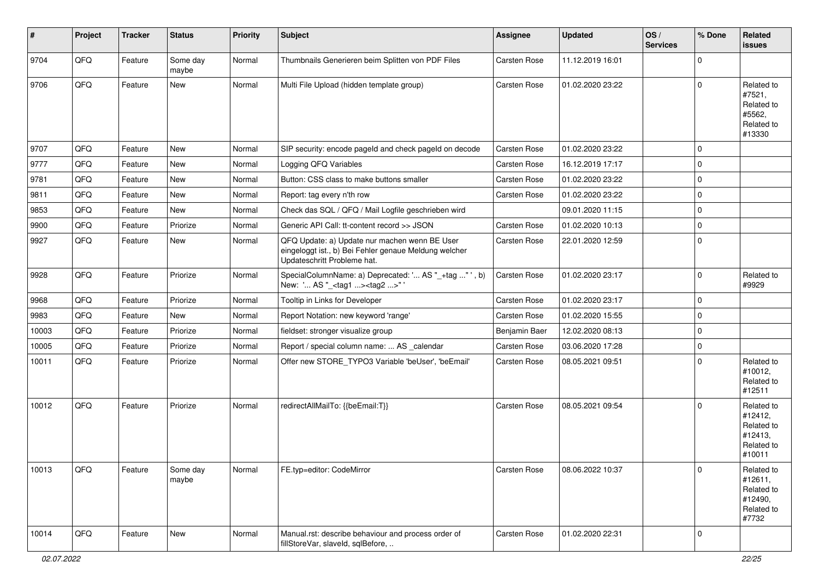| #     | Project | <b>Tracker</b> | <b>Status</b>     | <b>Priority</b> | <b>Subject</b>                                                                                                                        | Assignee      | <b>Updated</b>   | OS/<br><b>Services</b> | % Done      | Related<br><b>issues</b>                                               |
|-------|---------|----------------|-------------------|-----------------|---------------------------------------------------------------------------------------------------------------------------------------|---------------|------------------|------------------------|-------------|------------------------------------------------------------------------|
| 9704  | QFQ     | Feature        | Some day<br>maybe | Normal          | Thumbnails Generieren beim Splitten von PDF Files                                                                                     | Carsten Rose  | 11.12.2019 16:01 |                        | $\Omega$    |                                                                        |
| 9706  | QFQ     | Feature        | New               | Normal          | Multi File Upload (hidden template group)                                                                                             | Carsten Rose  | 01.02.2020 23:22 |                        | $\Omega$    | Related to<br>#7521,<br>Related to<br>#5562,<br>Related to<br>#13330   |
| 9707  | QFQ     | Feature        | New               | Normal          | SIP security: encode pageld and check pageld on decode                                                                                | Carsten Rose  | 01.02.2020 23:22 |                        | $\Omega$    |                                                                        |
| 9777  | QFQ     | Feature        | New               | Normal          | Logging QFQ Variables                                                                                                                 | Carsten Rose  | 16.12.2019 17:17 |                        | $\mathbf 0$ |                                                                        |
| 9781  | QFQ     | Feature        | New               | Normal          | Button: CSS class to make buttons smaller                                                                                             | Carsten Rose  | 01.02.2020 23:22 |                        | $\mathbf 0$ |                                                                        |
| 9811  | QFQ     | Feature        | New               | Normal          | Report: tag every n'th row                                                                                                            | Carsten Rose  | 01.02.2020 23:22 |                        | $\mathbf 0$ |                                                                        |
| 9853  | QFQ     | Feature        | New               | Normal          | Check das SQL / QFQ / Mail Logfile geschrieben wird                                                                                   |               | 09.01.2020 11:15 |                        | $\mathbf 0$ |                                                                        |
| 9900  | QFQ     | Feature        | Priorize          | Normal          | Generic API Call: tt-content record >> JSON                                                                                           | Carsten Rose  | 01.02.2020 10:13 |                        | $\mathbf 0$ |                                                                        |
| 9927  | QFQ     | Feature        | New               | Normal          | QFQ Update: a) Update nur machen wenn BE User<br>eingeloggt ist., b) Bei Fehler genaue Meldung welcher<br>Updateschritt Probleme hat. | Carsten Rose  | 22.01.2020 12:59 |                        | $\Omega$    |                                                                        |
| 9928  | QFQ     | Feature        | Priorize          | Normal          | SpecialColumnName: a) Deprecated: ' AS "_+tag " ', b)<br>New: ' AS "_ <tag1><tag2>"'</tag2></tag1>                                    | Carsten Rose  | 01.02.2020 23:17 |                        | $\Omega$    | Related to<br>#9929                                                    |
| 9968  | QFQ     | Feature        | Priorize          | Normal          | Tooltip in Links for Developer                                                                                                        | Carsten Rose  | 01.02.2020 23:17 |                        | $\mathbf 0$ |                                                                        |
| 9983  | QFQ     | Feature        | New               | Normal          | Report Notation: new keyword 'range'                                                                                                  | Carsten Rose  | 01.02.2020 15:55 |                        | $\mathbf 0$ |                                                                        |
| 10003 | QFQ     | Feature        | Priorize          | Normal          | fieldset: stronger visualize group                                                                                                    | Benjamin Baer | 12.02.2020 08:13 |                        | $\mathbf 0$ |                                                                        |
| 10005 | QFQ     | Feature        | Priorize          | Normal          | Report / special column name:  AS _calendar                                                                                           | Carsten Rose  | 03.06.2020 17:28 |                        | $\mathbf 0$ |                                                                        |
| 10011 | QFQ     | Feature        | Priorize          | Normal          | Offer new STORE_TYPO3 Variable 'beUser', 'beEmail'                                                                                    | Carsten Rose  | 08.05.2021 09:51 |                        | $\Omega$    | Related to<br>#10012,<br>Related to<br>#12511                          |
| 10012 | QFQ     | Feature        | Priorize          | Normal          | redirectAllMailTo: {{beEmail:T}}                                                                                                      | Carsten Rose  | 08.05.2021 09:54 |                        | $\Omega$    | Related to<br>#12412,<br>Related to<br>#12413,<br>Related to<br>#10011 |
| 10013 | QFQ     | Feature        | Some day<br>maybe | Normal          | FE.typ=editor: CodeMirror                                                                                                             | Carsten Rose  | 08.06.2022 10:37 |                        | 0           | Related to<br>#12611,<br>Related to<br>#12490,<br>Related to<br>#7732  |
| 10014 | QFQ     | Feature        | New               | Normal          | Manual.rst: describe behaviour and process order of<br>fillStoreVar, slaveId, sqlBefore,                                              | Carsten Rose  | 01.02.2020 22:31 |                        | 0           |                                                                        |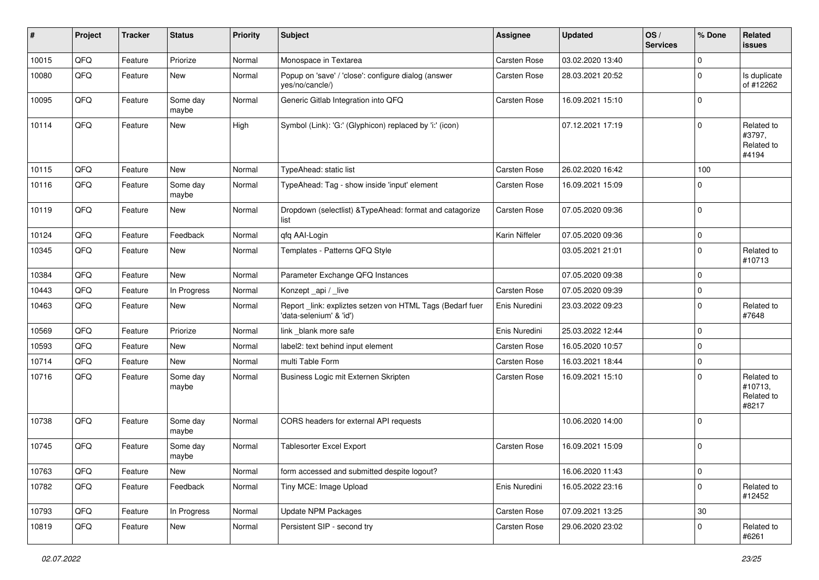| #     | Project | <b>Tracker</b> | <b>Status</b>     | <b>Priority</b> | <b>Subject</b>                                                                      | <b>Assignee</b>     | <b>Updated</b>   | OS/<br><b>Services</b> | % Done              | Related<br><b>issues</b>                     |
|-------|---------|----------------|-------------------|-----------------|-------------------------------------------------------------------------------------|---------------------|------------------|------------------------|---------------------|----------------------------------------------|
| 10015 | QFQ     | Feature        | Priorize          | Normal          | Monospace in Textarea                                                               | Carsten Rose        | 03.02.2020 13:40 |                        | $\mathbf 0$         |                                              |
| 10080 | QFQ     | Feature        | New               | Normal          | Popup on 'save' / 'close': configure dialog (answer<br>yes/no/cancle/)              | Carsten Rose        | 28.03.2021 20:52 |                        | $\mathbf 0$         | Is duplicate<br>of #12262                    |
| 10095 | QFQ     | Feature        | Some day<br>maybe | Normal          | Generic Gitlab Integration into QFQ                                                 | Carsten Rose        | 16.09.2021 15:10 |                        | $\mathbf 0$         |                                              |
| 10114 | QFQ     | Feature        | New               | High            | Symbol (Link): 'G:' (Glyphicon) replaced by 'i:' (icon)                             |                     | 07.12.2021 17:19 |                        | $\mathbf 0$         | Related to<br>#3797,<br>Related to<br>#4194  |
| 10115 | QFQ     | Feature        | New               | Normal          | TypeAhead: static list                                                              | Carsten Rose        | 26.02.2020 16:42 |                        | 100                 |                                              |
| 10116 | QFQ     | Feature        | Some day<br>maybe | Normal          | TypeAhead: Tag - show inside 'input' element                                        | Carsten Rose        | 16.09.2021 15:09 |                        | $\mathbf 0$         |                                              |
| 10119 | QFQ     | Feature        | New               | Normal          | Dropdown (selectlist) & TypeAhead: format and catagorize<br>list                    | Carsten Rose        | 07.05.2020 09:36 |                        | $\mathbf 0$         |                                              |
| 10124 | QFQ     | Feature        | Feedback          | Normal          | qfq AAI-Login                                                                       | Karin Niffeler      | 07.05.2020 09:36 |                        | $\mathbf 0$         |                                              |
| 10345 | QFQ     | Feature        | New               | Normal          | Templates - Patterns QFQ Style                                                      |                     | 03.05.2021 21:01 |                        | $\mathbf 0$         | Related to<br>#10713                         |
| 10384 | QFQ     | Feature        | <b>New</b>        | Normal          | Parameter Exchange QFQ Instances                                                    |                     | 07.05.2020 09:38 |                        | $\mathbf 0$         |                                              |
| 10443 | QFQ     | Feature        | In Progress       | Normal          | Konzept api / live                                                                  | Carsten Rose        | 07.05.2020 09:39 |                        | $\mathbf 0$         |                                              |
| 10463 | QFQ     | Feature        | New               | Normal          | Report link: expliztes setzen von HTML Tags (Bedarf fuer<br>'data-selenium' & 'id') | Enis Nuredini       | 23.03.2022 09:23 |                        | $\mathbf 0$         | Related to<br>#7648                          |
| 10569 | QFQ     | Feature        | Priorize          | Normal          | link _blank more safe                                                               | Enis Nuredini       | 25.03.2022 12:44 |                        | $\mathbf 0$         |                                              |
| 10593 | QFQ     | Feature        | New               | Normal          | label2: text behind input element                                                   | Carsten Rose        | 16.05.2020 10:57 |                        | $\mathbf 0$         |                                              |
| 10714 | QFQ     | Feature        | <b>New</b>        | Normal          | multi Table Form                                                                    | Carsten Rose        | 16.03.2021 18:44 |                        | $\mathbf 0$         |                                              |
| 10716 | QFQ     | Feature        | Some day<br>maybe | Normal          | Business Logic mit Externen Skripten                                                | Carsten Rose        | 16.09.2021 15:10 |                        | $\mathbf 0$         | Related to<br>#10713,<br>Related to<br>#8217 |
| 10738 | QFQ     | Feature        | Some day<br>maybe | Normal          | CORS headers for external API requests                                              |                     | 10.06.2020 14:00 |                        | $\mathbf 0$         |                                              |
| 10745 | QFQ     | Feature        | Some day<br>maybe | Normal          | <b>Tablesorter Excel Export</b>                                                     | <b>Carsten Rose</b> | 16.09.2021 15:09 |                        | $\pmb{0}$           |                                              |
| 10763 | QFG     | Feature        | New               | Normal          | form accessed and submitted despite logout?                                         |                     | 16.06.2020 11:43 |                        | $\mathsf{O}\xspace$ |                                              |
| 10782 | QFO     | Feature        | Feedback          | Normal          | Tiny MCE: Image Upload                                                              | Enis Nuredini       | 16.05.2022 23:16 |                        | $\mathbf 0$         | Related to<br>#12452                         |
| 10793 | QFQ     | Feature        | In Progress       | Normal          | <b>Update NPM Packages</b>                                                          | Carsten Rose        | 07.09.2021 13:25 |                        | 30                  |                                              |
| 10819 | QFQ     | Feature        | New               | Normal          | Persistent SIP - second try                                                         | Carsten Rose        | 29.06.2020 23:02 |                        | 0                   | Related to<br>#6261                          |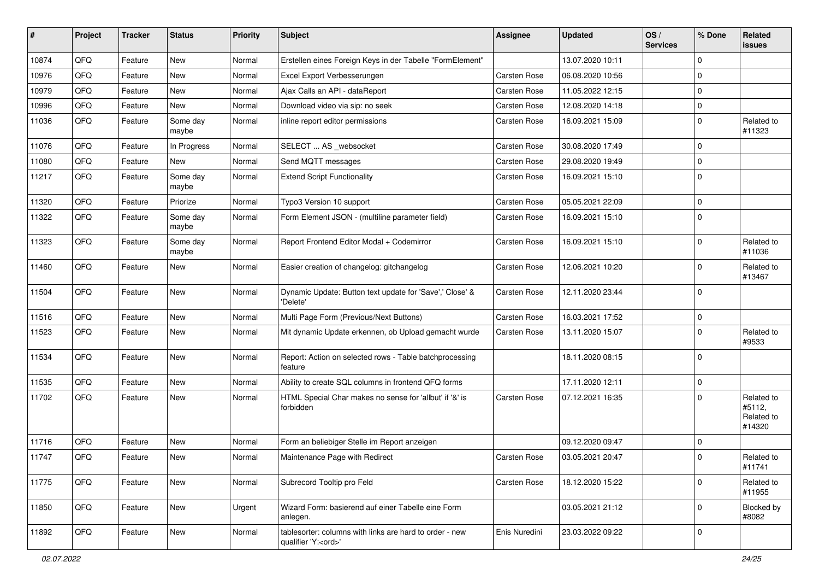| #     | Project | <b>Tracker</b> | <b>Status</b>     | <b>Priority</b> | <b>Subject</b>                                                                        | <b>Assignee</b> | <b>Updated</b>   | OS/<br><b>Services</b> | % Done      | Related<br>issues                            |
|-------|---------|----------------|-------------------|-----------------|---------------------------------------------------------------------------------------|-----------------|------------------|------------------------|-------------|----------------------------------------------|
| 10874 | QFQ     | Feature        | New               | Normal          | Erstellen eines Foreign Keys in der Tabelle "FormElement"                             |                 | 13.07.2020 10:11 |                        | $\Omega$    |                                              |
| 10976 | QFQ     | Feature        | New               | Normal          | Excel Export Verbesserungen                                                           | Carsten Rose    | 06.08.2020 10:56 |                        | $\mathbf 0$ |                                              |
| 10979 | QFQ     | Feature        | New               | Normal          | Ajax Calls an API - dataReport                                                        | Carsten Rose    | 11.05.2022 12:15 |                        | $\Omega$    |                                              |
| 10996 | QFQ     | Feature        | New               | Normal          | Download video via sip: no seek                                                       | Carsten Rose    | 12.08.2020 14:18 |                        | $\Omega$    |                                              |
| 11036 | QFQ     | Feature        | Some day<br>maybe | Normal          | inline report editor permissions                                                      | Carsten Rose    | 16.09.2021 15:09 |                        | $\Omega$    | Related to<br>#11323                         |
| 11076 | QFQ     | Feature        | In Progress       | Normal          | SELECT  AS _websocket                                                                 | Carsten Rose    | 30.08.2020 17:49 |                        | $\Omega$    |                                              |
| 11080 | QFQ     | Feature        | <b>New</b>        | Normal          | Send MQTT messages                                                                    | Carsten Rose    | 29.08.2020 19:49 |                        | $\Omega$    |                                              |
| 11217 | QFQ     | Feature        | Some day<br>maybe | Normal          | <b>Extend Script Functionality</b>                                                    | Carsten Rose    | 16.09.2021 15:10 |                        | $\mathbf 0$ |                                              |
| 11320 | QFQ     | Feature        | Priorize          | Normal          | Typo3 Version 10 support                                                              | Carsten Rose    | 05.05.2021 22:09 |                        | $\Omega$    |                                              |
| 11322 | QFQ     | Feature        | Some day<br>maybe | Normal          | Form Element JSON - (multiline parameter field)                                       | Carsten Rose    | 16.09.2021 15:10 |                        | $\Omega$    |                                              |
| 11323 | QFQ     | Feature        | Some day<br>maybe | Normal          | Report Frontend Editor Modal + Codemirror                                             | Carsten Rose    | 16.09.2021 15:10 |                        | $\Omega$    | Related to<br>#11036                         |
| 11460 | QFQ     | Feature        | New               | Normal          | Easier creation of changelog: gitchangelog                                            | Carsten Rose    | 12.06.2021 10:20 |                        | $\Omega$    | Related to<br>#13467                         |
| 11504 | QFQ     | Feature        | New               | Normal          | Dynamic Update: Button text update for 'Save',' Close' &<br>'Delete'                  | Carsten Rose    | 12.11.2020 23:44 |                        | $\mathbf 0$ |                                              |
| 11516 | QFQ     | Feature        | New               | Normal          | Multi Page Form (Previous/Next Buttons)                                               | Carsten Rose    | 16.03.2021 17:52 |                        | $\mathbf 0$ |                                              |
| 11523 | QFQ     | Feature        | New               | Normal          | Mit dynamic Update erkennen, ob Upload gemacht wurde                                  | Carsten Rose    | 13.11.2020 15:07 |                        | $\Omega$    | Related to<br>#9533                          |
| 11534 | QFQ     | Feature        | New               | Normal          | Report: Action on selected rows - Table batchprocessing<br>feature                    |                 | 18.11.2020 08:15 |                        | $\Omega$    |                                              |
| 11535 | QFQ     | Feature        | New               | Normal          | Ability to create SQL columns in frontend QFQ forms                                   |                 | 17.11.2020 12:11 |                        | $\mathbf 0$ |                                              |
| 11702 | QFQ     | Feature        | New               | Normal          | HTML Special Char makes no sense for 'allbut' if '&' is<br>forbidden                  | Carsten Rose    | 07.12.2021 16:35 |                        | $\Omega$    | Related to<br>#5112,<br>Related to<br>#14320 |
| 11716 | QFQ     | Feature        | New               | Normal          | Form an beliebiger Stelle im Report anzeigen                                          |                 | 09.12.2020 09:47 |                        | $\Omega$    |                                              |
| 11747 | QFQ     | Feature        | New               | Normal          | Maintenance Page with Redirect                                                        | Carsten Rose    | 03.05.2021 20:47 |                        | $\Omega$    | Related to<br>#11741                         |
| 11775 | QFQ     | Feature        | New               | Normal          | Subrecord Tooltip pro Feld                                                            | Carsten Rose    | 18.12.2020 15:22 |                        | $\Omega$    | Related to<br>#11955                         |
| 11850 | QFQ     | Feature        | New               | Urgent          | Wizard Form: basierend auf einer Tabelle eine Form<br>anlegen.                        |                 | 03.05.2021 21:12 |                        | $\Omega$    | Blocked by<br>#8082                          |
| 11892 | QFQ     | Feature        | New               | Normal          | tablesorter: columns with links are hard to order - new<br>qualifier 'Y: <ord>'</ord> | Enis Nuredini   | 23.03.2022 09:22 |                        | $\mathbf 0$ |                                              |